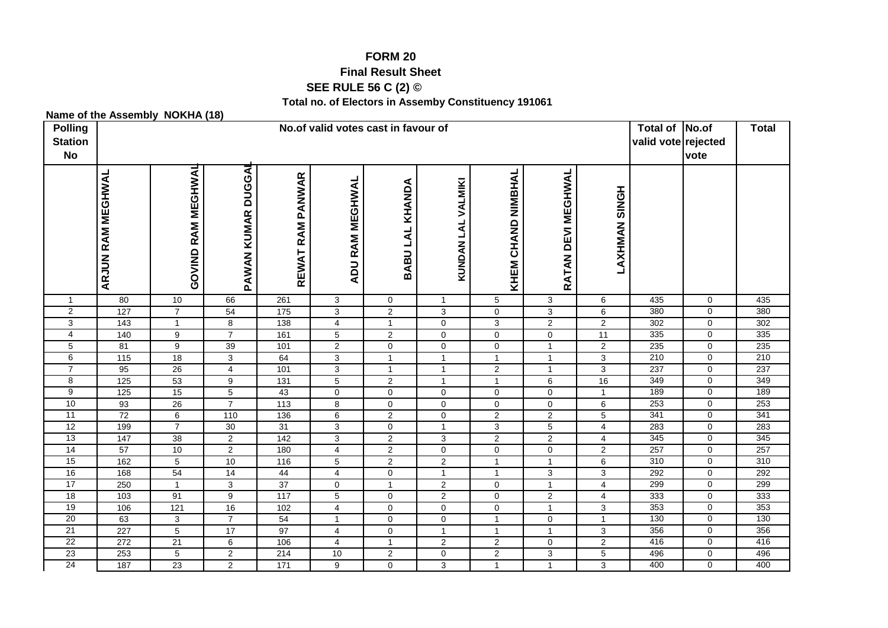# **FORM 20**

#### **Final Result Sheet**

# **SEE RULE 56 C (2) ©**

#### **Total no. of Electors in Assemby Constituency 191061**

### **Name of the Assembly NOKHA (18)**

| <b>Polling</b><br><b>Station</b><br><b>No</b> | No.of valid votes cast in favour of |                       |                                  |                  |                                  |                                |                                  |                                |                     |                      |            | No.of<br>valid vote rejected<br>vote | <b>Total</b> |
|-----------------------------------------------|-------------------------------------|-----------------------|----------------------------------|------------------|----------------------------------|--------------------------------|----------------------------------|--------------------------------|---------------------|----------------------|------------|--------------------------------------|--------------|
|                                               | <b>ARJUN RAM MEGHWAL</b>            | RAM MEGHWAL<br>GOVIND | PAWAN KUMAR DUGGA                | REWAT RAM PANWAR | <b>ADU RAM MEGHWAL</b>           | BABU LAL KHANDA                | KUNDAN LAL VALMIKI               | <b>CHAND NIMBHAL</b><br>KHEM   | RATAN DEVI MEGHWAL  | <b>HONRY MANRYAL</b> |            |                                      |              |
| $\mathbf{1}$                                  | 80                                  | 10                    | 66                               | 261              | $\mathbf{3}$                     | $\mathbf 0$                    | $\overline{1}$                   | $\,$ 5 $\,$                    | $\mathbf 3$         | 6                    | 435        | $\mathbf 0$                          | 435          |
| $\overline{2}$                                | 127                                 | $\overline{7}$        | 54                               | $\frac{1}{175}$  | 3                                | $\overline{2}$                 | 3                                | $\pmb{0}$                      | $\mathbf 3$         | 6                    | 380        | 0                                    | 380          |
| 3                                             | $\frac{1}{143}$                     | $\mathbf{1}$          | $\overline{8}$                   | 138              | $\overline{4}$                   | $\mathbf{1}$                   | $\mathbf 0$                      | $\mathbf{3}$                   | $\overline{2}$      | $\overline{2}$       | 302        | 0                                    | 302          |
| $\overline{4}$                                | 140                                 | 9                     | $\overline{7}$                   | 161              | $\sqrt{5}$                       | $\overline{2}$                 | $\mathbf 0$                      | $\mathbf 0$                    | $\mathbf 0$         | 11                   | 335        | 0                                    | 335          |
| 5<br>6                                        | 81<br>115                           | 9                     | 39                               | 101              | $\overline{c}$                   | $\mathbf 0$                    | 0                                | $\pmb{0}$                      | $\overline{1}$      | $\overline{2}$       | 235<br>210 | 0                                    | 235<br>210   |
| $\overline{7}$                                |                                     | 18<br>26              | $\overline{3}$                   | 64               | $\overline{3}$                   | $\mathbf{1}$                   | $\overline{1}$                   | $\mathbf{1}$                   | $\overline{1}$      | 3                    | 237        | $\mathbf 0$<br>$\mathbf 0$           | 237          |
| 8                                             | 95<br>125                           | 53                    | $\overline{4}$<br>$\overline{9}$ | 101<br>131       | $\overline{3}$<br>$\overline{5}$ | $\mathbf{1}$<br>$\overline{2}$ | $\overline{1}$<br>$\overline{1}$ | $\overline{2}$<br>$\mathbf{1}$ | $\overline{1}$<br>6 | 3<br>16              | 349        | $\overline{0}$                       | 349          |
| 9                                             | 125                                 | 15                    | $\overline{5}$                   | 43               | $\pmb{0}$                        | $\mathbf 0$                    | 0                                | $\pmb{0}$                      | $\mathbf 0$         | $\mathbf{1}$         | 189        | 0                                    | 189          |
| 10                                            | 93                                  | 26                    | $\overline{7}$                   | $\frac{1}{13}$   | $\overline{8}$                   | $\mathsf{O}\xspace$            | $\mathsf 0$                      | $\pmb{0}$                      | $\mathbf 0$         | 6                    | 253        | $\overline{0}$                       | 253          |
| 11                                            | 72                                  | $\overline{6}$        | 110                              | 136              | $\overline{6}$                   | $\overline{2}$                 | $\mathbf 0$                      | $\overline{2}$                 | $\overline{2}$      | $\overline{5}$       | 341        | 0                                    | 341          |
| 12                                            | 199                                 | $\overline{7}$        | 30                               | 31               | $\mathbf{3}$                     | $\mathsf{O}\xspace$            | $\mathbf{1}$                     | $\sqrt{3}$                     | $\overline{5}$      | $\overline{4}$       | 283        | $\mathbf 0$                          | 283          |
| 13                                            | 147                                 | 38                    | $\overline{2}$                   | $\frac{1}{142}$  | 3                                | $\overline{2}$                 | 3                                | $\overline{2}$                 | $\overline{2}$      | $\overline{4}$       | 345        | 0                                    | 345          |
| 14                                            | 57                                  | 10                    | $\overline{2}$                   | 180              | $\overline{4}$                   | $\overline{2}$                 | $\mathbf 0$                      | $\pmb{0}$                      | $\mathbf 0$         | $\overline{2}$       | 257        | 0                                    | 257          |
| 15                                            | 162                                 | 5                     | 10                               | 116              | $\,$ 5 $\,$                      | $\overline{2}$                 | $\overline{\mathbf{c}}$          | $\mathbf{1}$                   | $\overline{1}$      | 6                    | 310        | 0                                    | 310          |
| 16                                            | 168                                 | 54                    | 14                               | 44               | 4                                | $\mathbf 0$                    | $\overline{1}$                   | $\mathbf{1}$                   | $\mathbf{3}$        | 3                    | 292        | 0                                    | 292          |
| 17                                            | 250                                 | $\mathbf{1}$          | $\sqrt{3}$                       | 37               | $\mathbf 0$                      | $\mathbf{1}$                   | $\sqrt{2}$                       | $\mathbf 0$                    | $\overline{1}$      | 4                    | 299        | $\mathbf 0$                          | 299          |
| 18                                            | 103                                 | 91                    | $\overline{9}$                   | $\frac{1}{117}$  | $\overline{5}$                   | $\mathbf 0$                    | $\overline{2}$                   | $\pmb{0}$                      | $\overline{2}$      | $\overline{4}$       | 333        | $\mathbf 0$                          | 333          |
| 19                                            | 106                                 | 121                   | 16                               | 102              | $\overline{\mathbf{4}}$          | $\mathbf 0$                    | 0                                | $\mathbf 0$                    | $\overline{1}$      | 3                    | 353        | $\mathbf 0$                          | 353          |
| 20                                            | 63                                  | 3                     | $\overline{7}$                   | 54               | $\mathbf{1}$                     | $\mathbf 0$                    | $\mathbf 0$                      | $\mathbf{1}$                   | $\mathbf 0$         | $\overline{1}$       | 130        | 0                                    | 130          |
| 21                                            | 227                                 | $\overline{5}$        | $\overline{17}$                  | $\overline{97}$  | 4                                | $\mathbf 0$                    | $\mathbf{1}$                     | $\mathbf{1}$                   | $\overline{1}$      | 3                    | 356        | 0                                    | 356          |
| 22                                            | 272                                 | 21                    | $6\overline{6}$                  | 106              | 4                                | $\mathbf{1}$                   | $\overline{2}$                   | $\overline{2}$                 | $\mathbf 0$         | $\overline{2}$       | 416        | 0                                    | 416          |
| 23                                            | 253                                 | 5                     | $\overline{2}$                   | 214              | 10                               | $\overline{2}$                 | $\mathbf 0$                      | $\overline{2}$                 | $\mathbf{3}$        | 5                    | 496        | $\mathbf 0$                          | 496          |
| 24                                            | 187                                 | 23                    | $\overline{2}$                   | 171              | 9                                | $\mathbf{0}$                   | 3                                | $\mathbf{1}$                   | $\overline{1}$      | 3                    | 400        | $\mathbf 0$                          | 400          |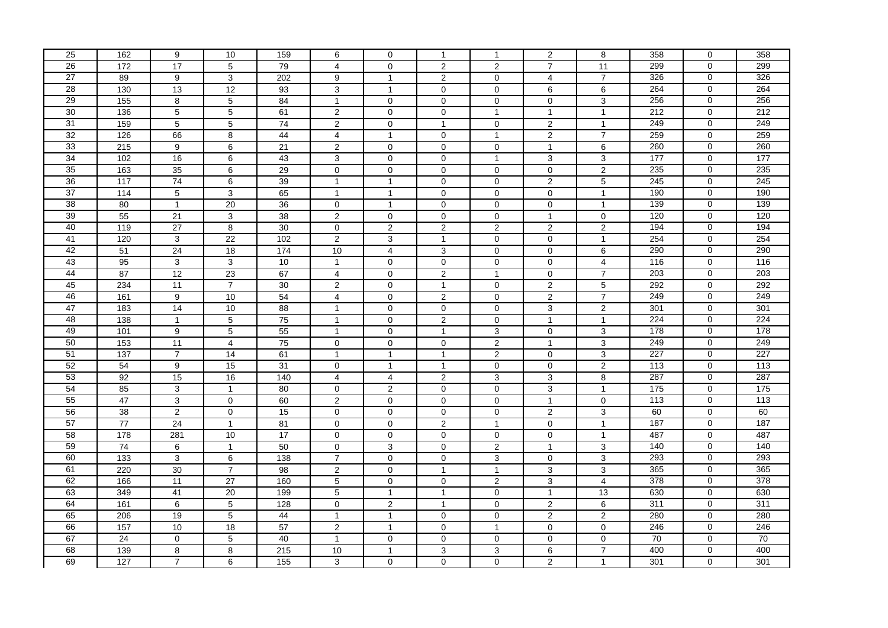| 25              | 162              | 9                | 10              | 159             | 6                       | 0              | $\overline{1}$          | $\mathbf{1}$            | 2                   | 8                         | 358              | $\mathbf 0$    | 358 |
|-----------------|------------------|------------------|-----------------|-----------------|-------------------------|----------------|-------------------------|-------------------------|---------------------|---------------------------|------------------|----------------|-----|
| 26              | 172              | 17               | $\overline{5}$  | 79              | $\overline{4}$          | $\mathbf 0$    | 2                       | 2                       | $\overline{7}$      | 11                        | 299              | 0              | 299 |
| $\overline{27}$ | 89               | 9                | $\mathbf{3}$    | 202             | 9                       | $\mathbf{1}$   | $\overline{c}$          | $\pmb{0}$               | 4                   | $\boldsymbol{7}$          | 326              | 0              | 326 |
| 28              | 130              | 13               | $\overline{12}$ | 93              | 3                       | $\mathbf{1}$   | $\mathbf 0$             | $\mathbf 0$             | 6                   | 6                         | 264              | 0              | 264 |
| 29              | $\frac{155}{ }$  | 8                | $\overline{5}$  | 84              | $\mathbf{1}$            | $\mathbf 0$    | $\mathsf{O}\xspace$     | $\pmb{0}$               | $\mathsf{O}\xspace$ | 3                         | 256              | $\overline{0}$ | 256 |
| 30              | 136              | 5                | $\overline{5}$  | 61              | $\overline{c}$          | $\mathbf 0$    | $\mathbf 0$             | $\mathbf{1}$            | $\mathbf{1}$        | $\mathbf{1}$              | 212              | 0              | 212 |
| 31              | 159              | $\overline{5}$   | $\overline{5}$  | $\overline{74}$ | $\overline{2}$          | $\mathbf 0$    | $\mathbf{1}$            | $\mathbf 0$             | $\overline{2}$      | $\mathbf{1}$              | 249              | 0              | 249 |
| 32              | 126              | 66               | $\overline{8}$  | 44              | $\overline{4}$          | $\mathbf{1}$   | $\mathbf 0$             | $\overline{1}$          | $\overline{2}$      | $\overline{7}$            | 259              | $\overline{0}$ | 259 |
| 33              | 215              | 9                | $\overline{6}$  | 21              | $\overline{\mathbf{c}}$ | $\mathbf 0$    | $\mathbf 0$             | $\mathbf 0$             | $\mathbf{1}$        | 6                         | 260              | 0              | 260 |
| 34              | 102              | 16               | 6               | 43              | 3                       | $\mathbf 0$    | $\mathbf 0$             | $\mathbf{1}$            | 3                   | 3                         | 177              | 0              | 177 |
| 35              | 163              | 35               | 6               | 29              | $\mathbf 0$             | $\mathbf 0$    | $\mathbf 0$             | $\pmb{0}$               | $\mathbf{0}$        | $\overline{c}$            | 235              | $\overline{0}$ | 235 |
| 36              | 117              | ${\bf 74}$       | 6               | 39              | $\mathbf{1}$            | $\mathbf{1}$   | 0                       | 0                       | 2                   | $\,$ 5 $\,$               | 245              | 0              | 245 |
| 37              | 114              | 5                | $\overline{3}$  | 65              | $\mathbf{1}$            | $\mathbf{1}$   | $\mathsf{O}\xspace$     | $\pmb{0}$               | $\mathbf 0$         | $\overline{1}$            | 190              | 0              | 190 |
| 38              | 80               | $\mathbf{1}$     | $\overline{20}$ | 36              | $\mathbf{0}$            | $\mathbf{1}$   | $\mathbf 0$             | $\pmb{0}$               | $\mathbf 0$         | $\mathbf{1}$              | 139              | $\overline{0}$ | 139 |
| 39              | 55               | 21               | 3               | 38              | $\overline{2}$          | $\mathbf 0$    | 0                       | $\mathbf 0$             | $\mathbf{1}$        | 0                         | 120              | 0              | 120 |
| 40              | 119              | 27               | $\overline{8}$  | 30              | $\mathbf 0$             | $\overline{c}$ | $\overline{\mathbf{c}}$ | $\boldsymbol{2}$        | $\overline{2}$      | $\overline{\mathbf{c}}$   | 194              | $\mathbf 0$    | 194 |
| 41              | 120              | 3                | 22              | 102             | $\overline{2}$          | 3              | $\overline{1}$          | $\pmb{0}$               | $\mathsf{O}\xspace$ | $\mathbf{1}$              | 254              | $\overline{0}$ | 254 |
| 42              | 51               | 24               | $\overline{18}$ | 174             | 10                      | $\overline{4}$ | 3                       | $\mathbf 0$             | $\mathbf 0$         | 6                         | 290              | $\mathbf 0$    | 290 |
| 43              | 95               | $\overline{3}$   | $\overline{3}$  | 10              | $\mathbf{1}$            | $\mathbf 0$    | $\mathsf 0$             | $\pmb{0}$               | $\mathsf{O}\xspace$ | $\overline{\mathbf{4}}$   | 116              | $\overline{0}$ | 116 |
| 44              | 87               | 12               | $\overline{23}$ | 67              | $\overline{4}$          | $\mathbf 0$    | $\overline{2}$          | $\mathbf{1}$            | $\mathbf 0$         | $\overline{7}$            | 203              | 0              | 203 |
| 45              | 234              | 11               | $\overline{7}$  | 30              | $\overline{\mathbf{c}}$ | $\mathbf 0$    | $\mathbf{1}$            | $\mathbf 0$             | 2                   | $\,$ 5 $\,$               | 292              | $\mathbf 0$    | 292 |
| 46              | 161              | $\boldsymbol{9}$ | 10              | 54              | $\overline{4}$          | $\mathbf 0$    | $\overline{2}$          | $\mathbf 0$             | $\overline{2}$      | $\overline{7}$            | 249              | 0              | 249 |
| 47              | 183              | $\overline{14}$  | 10              | 88              | $\mathbf{1}$            | $\mathbf 0$    | $\mathbf 0$             | $\mathbf 0$             | 3                   | $\overline{\mathbf{c}}$   | 301              | 0              | 301 |
| 48              | 138              | $\mathbf{1}$     | $\overline{5}$  | 75              | $\mathbf{1}$            | $\mathbf 0$    | 2                       | $\mathbf 0$             | $\mathbf{1}$        | $\mathbf{1}$              | 224              | $\mathbf 0$    | 224 |
| 49              | 101              | 9                | $\overline{5}$  | 55              | $\mathbf{1}$            | $\mathbf 0$    | $\overline{1}$          | 3                       | $\mathbf 0$         | $\overline{3}$            | 178              | 0              | 178 |
| 50              | 153              | 11               | $\overline{4}$  | 75              | 0                       | $\mathbf 0$    | 0                       | $\sqrt{2}$              | $\mathbf{1}$        | 3                         | 249              | 0              | 249 |
| 51              | $\overline{137}$ | $\overline{7}$   | 14              | 61              | $\mathbf{1}$            | $\mathbf{1}$   | $\overline{1}$          | $\overline{2}$          | $\mathbf 0$         | 3                         | 227              | $\mathbf 0$    | 227 |
| 52              | 54               | 9                | 15              | 31              | $\mathbf 0$             | $\mathbf{1}$   | $\mathbf{1}$            | $\mathbf 0$             | $\mathsf{O}\xspace$ | $\overline{2}$            | $\overline{113}$ | $\overline{0}$ | 113 |
| 53              | 92               | 15               | 16              | 140             | $\overline{4}$          | 4              | $\overline{2}$          | 3                       | 3                   | $\bf 8$                   | 287              | 0              | 287 |
| 54              | 85               | 3                | $\mathbf{1}$    | 80              | 0                       | $\overline{2}$ | $\mathbf 0$             | $\pmb{0}$               | $\overline{3}$      | $\mathbf{1}$              | 175              | 0              | 175 |
| 55              | 47               | 3                | $\mathbf 0$     | 60              | $\overline{c}$          | $\mathbf 0$    | $\mathbf 0$             | $\pmb{0}$               | $\mathbf{1}$        | $\mathbf 0$               | $\overline{113}$ | $\overline{0}$ | 113 |
| 56              | 38               | $\overline{2}$   | $\overline{0}$  | 15              | $\mathbf 0$             | $\mathbf 0$    | 0                       | $\mathbf 0$             | $\overline{2}$      | 3                         | 60               | 0              | 60  |
| 57              | 77               | 24               | $\mathbf{1}$    | 81              | 0                       | $\mathbf 0$    | $\overline{2}$          | $\mathbf{1}$            | $\mathsf{O}\xspace$ | $\mathbf{1}$              | 187              | $\overline{0}$ | 187 |
| 58              | 178              | 281              | 10              | 17              | $\mathbf 0$             | $\mathbf 0$    | $\mathbf 0$             | $\pmb{0}$               | $\mathsf{O}\xspace$ | $\mathbf{1}$              | 487              | 0              | 487 |
| 59              | 74               | 6                | $\mathbf{1}$    | 50              | 0                       | 3              | 0                       | $\overline{\mathbf{c}}$ | $\mathbf{1}$        | $\ensuremath{\mathsf{3}}$ | 140              | 0              | 140 |
| 60              | $\overline{133}$ | 3                | $6\overline{6}$ | 138             | $\overline{7}$          | $\mathbf 0$    | $\mathbf 0$             | 3                       | $\mathbf 0$         | $\overline{3}$            | 293              | 0              | 293 |
| 61              | 220              | 30               | $\overline{7}$  | 98              | $\overline{2}$          | $\mathbf 0$    | $\mathbf{1}$            | $\mathbf{1}$            | 3                   | 3                         | 365              | $\overline{0}$ | 365 |
| 62              | 166              | 11               | 27              | 160             | 5                       | $\mathbf 0$    | 0                       | $\sqrt{2}$              | 3                   | 4                         | 378              | 0              | 378 |
| 63              | 349              | 41               | 20              | 199             | $\overline{5}$          | $\mathbf{1}$   | $\overline{1}$          | $\mathbf 0$             | $\overline{1}$      | 13                        | 630              | $\overline{0}$ | 630 |
| 64              | 161              | 6                | $\overline{5}$  | 128             | $\mathsf{O}$            | $\overline{2}$ | $\mathbf{1}$            | $\mathbf 0$             | $\overline{2}$      | 6                         | 311              | 0              | 311 |
| 65              | 206              | 19               | $\overline{5}$  | 44              | $\mathbf{1}$            | $\mathbf{1}$   | 0                       | $\mathbf 0$             | $\overline{2}$      | 2                         | 280              | 0              | 280 |
| 66              | 157              | 10               | 18              | 57              | $\overline{2}$          | $\mathbf{1}$   | $\mathbf 0$             | $\mathbf{1}$            | $\mathbf{0}$        | $\mathbf 0$               | 246              | $\overline{0}$ | 246 |
| 67              | $\overline{24}$  | 0                | 5               | 40              | $\mathbf{1}$            | $\mathbf 0$    | $\mathbf 0$             | $\mathbf 0$             | $\mathbf 0$         | 0                         | 70               | 0              | 70  |
| 68              | 139              | 8                | 8               | 215             | 10                      | $\mathbf{1}$   | 3                       | 3                       | $\,6\,$             | $\overline{7}$            | 400              | 0              | 400 |
| 69              | 127              | $\overline{7}$   | 6               | 155             | 3                       | $\mathbf 0$    | 0                       | 0                       | $\overline{c}$      | $\mathbf{1}$              | 301              | 0              | 301 |
|                 |                  |                  |                 |                 |                         |                |                         |                         |                     |                           |                  |                |     |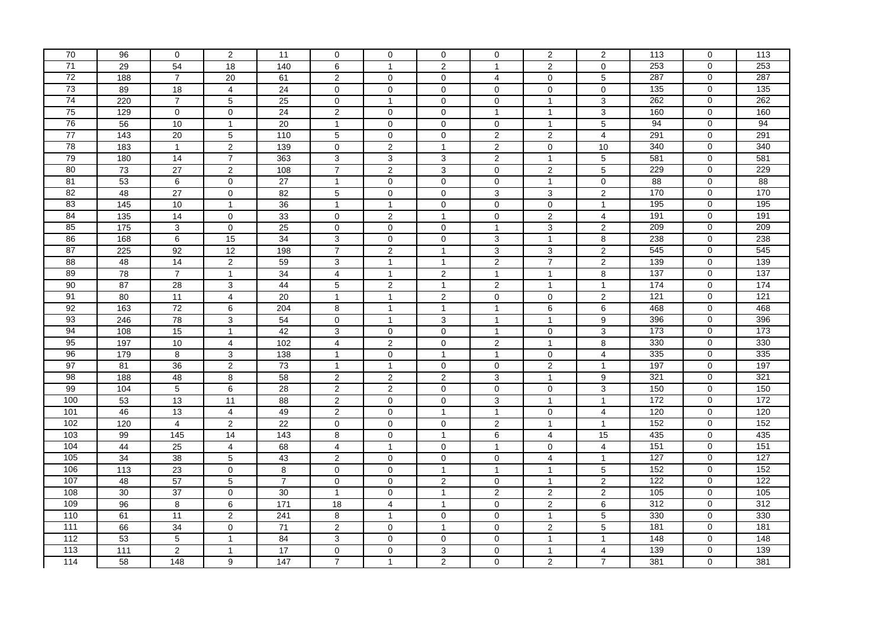| 70              | 96                | 0               | $\overline{2}$      | 11             | $\mathbf{0}$            | $\mathbf 0$    | $\mathbf 0$    | $\mathbf 0$      | 2                   | $\overline{c}$          | 113             | 0              | 113              |
|-----------------|-------------------|-----------------|---------------------|----------------|-------------------------|----------------|----------------|------------------|---------------------|-------------------------|-----------------|----------------|------------------|
| $\overline{71}$ | 29                | 54              | 18                  | 140            | 6                       | $\mathbf{1}$   | 2              | $\mathbf{1}$     | 2                   | $\mathbf 0$             | 253             | $\overline{0}$ | 253              |
| $\overline{72}$ | 188               | $\overline{7}$  | $20\,$              | 61             | $\overline{\mathbf{c}}$ | 0              | 0              | 4                | 0                   | $\,$ 5 $\,$             | 287             | 0              | 287              |
| 73              | 89                | 18              | $\overline{4}$      | 24             | $\mathbf{0}$            | $\mathbf 0$    | $\mathbf 0$    | $\mathbf 0$      | $\mathbf 0$         | $\mathbf 0$             | 135             | $\mathbf 0$    | 135              |
| 74              | 220               | $\overline{7}$  | $\overline{5}$      | 25             | $\mathsf{O}\xspace$     | $\mathbf{1}$   | $\mathbf 0$    | $\mathbf 0$      | $\overline{1}$      | 3                       | 262             | 0              | 262              |
| 75              | 129               | 0               | 0                   | 24             | $\overline{\mathbf{c}}$ | $\mathbf 0$    | $\mathbf 0$    | $\mathbf{1}$     | $\mathbf{1}$        | 3                       | 160             | 0              | 160              |
| 76              | 56                | 10              | $\mathbf{1}$        | 20             | $\mathbf{1}$            | $\mathbf 0$    | 0              | $\mathbf 0$      | $\mathbf{1}$        | 5                       | 94              | 0              | 94               |
| 77              | 143               | 20              | $\overline{5}$      | 110            | 5                       | $\mathbf 0$    | $\mathbf 0$    | $\overline{2}$   | $\overline{2}$      | 4                       | 291             | $\overline{0}$ | 291              |
| 78              | 183               | $\mathbf{1}$    | $\overline{2}$      | 139            | $\mathbf 0$             | $\overline{c}$ | $\overline{1}$ | $\sqrt{2}$       | $\mathbf 0$         | 10                      | 340             | 0              | 340              |
| 79              | 180               | 14              | $\overline{7}$      | 363            | 3                       | 3              | 3              | $\sqrt{2}$       | $\mathbf{1}$        | $\,$ 5 $\,$             | 581             | $\mathbf 0$    | 581              |
| 80              | 73                | 27              | $\overline{2}$      | 108            | $\boldsymbol{7}$        | $\overline{2}$ | 3              | $\pmb{0}$        | $\overline{2}$      | $5\phantom{.0}$         | 229             | 0              | 229              |
| 81              | 53                | 6               | $\mathsf 0$         | 27             | $\mathbf{1}$            | $\mathbf 0$    | $\mathbf 0$    | $\mathbf 0$      | $\mathbf{1}$        | $\mathbf 0$             | 88              | 0              | 88               |
| 82              | 48                | $\overline{27}$ | $\mathsf{O}\xspace$ | 82             | 5                       | $\mathbf 0$    | $\mathbf 0$    | $\mathsf 3$      | $\mathbf{3}$        | $\overline{\mathbf{c}}$ | 170             | 0              | 170              |
| 83              | $\frac{145}{145}$ | $10$            | $\mathbf{1}$        | 36             | $\mathbf{1}$            | $\mathbf{1}$   | $\mathbf 0$    | $\pmb{0}$        | $\mathbf 0$         | $\overline{1}$          | 195             | 0              | $\frac{1}{195}$  |
| 84              | $\overline{135}$  | 14              | 0                   | 33             | $\mathbf 0$             | 2              | $\overline{1}$ | 0                | 2                   | 4                       | 191             | $\mathbf 0$    | 191              |
| 85              | 175               | $\overline{3}$  | 0                   | 25             | $\mathbf 0$             | $\mathbf 0$    | $\mathbf 0$    | $\mathbf{1}$     | $\overline{3}$      | $\overline{2}$          | 209             | $\overline{0}$ | 209              |
| 86              | 168               | 6               | 15                  | 34             | 3                       | $\mathbf 0$    | $\mathbf 0$    | 3                | $\overline{1}$      | $\overline{8}$          | 238             | 0              | 238              |
| 87              | 225               | 92              | 12                  | 198            | $\overline{7}$          | 2              | $\overline{1}$ | 3                | 3                   | $\overline{c}$          | 545             | 0              | 545              |
| 88              | 48                | $\overline{14}$ | $\overline{2}$      | 59             | 3                       | $\mathbf{1}$   | $\overline{1}$ | $\overline{2}$   | $\overline{7}$      | $\overline{2}$          | 139             | $\overline{0}$ | 139              |
| 89              | 78                | $\overline{7}$  | $\mathbf{1}$        | 34             | $\overline{4}$          | $\mathbf{1}$   | 2              | $\mathbf{1}$     | $\overline{1}$      | 8                       | 137             | 0              | $\overline{137}$ |
| 90              | 87                | 28              | 3                   | 44             | 5                       | $\overline{2}$ | $\overline{1}$ | $\boldsymbol{2}$ | $\mathbf{1}$        | $\mathbf{1}$            | 174             | $\pmb{0}$      | 174              |
| 91              | 80                | 11              | $\overline{4}$      | 20             | $\mathbf{1}$            | $\mathbf{1}$   | $\overline{2}$ | $\pmb{0}$        | $\mathsf{O}\xspace$ | $\overline{2}$          | 121             | $\overline{0}$ | 121              |
| 92              | 163               | $\overline{72}$ | 6                   | 204            | 8                       | $\mathbf{1}$   | $\mathbf{1}$   | $\mathbf{1}$     | 6                   | 6                       | 468             | 0              | 468              |
| 93              | 246               | $\overline{78}$ | 3                   | 54             | 0                       | $\mathbf{1}$   | 3              | $\mathbf{1}$     | $\mathbf{1}$        | 9                       | 396             | 0              | 396              |
| 94              | 108               | 15              | $\overline{1}$      | 42             | 3                       | $\mathbf 0$    | $\mathbf 0$    | $\mathbf{1}$     | $\mathbf 0$         | $\overline{3}$          | 173             | $\overline{0}$ | 173              |
| 95              | 197               | 10              | $\overline{4}$      | 102            | 4                       | $\overline{2}$ | $\mathbf 0$    | $\overline{c}$   | $\mathbf{1}$        | 8                       | 330             | 0              | 330              |
| 96              | 179               | 8               | $\mathbf{3}$        | 138            | $\mathbf{1}$            | $\mathbf 0$    | $\mathbf{1}$   | $\mathbf{1}$     | $\mathbf 0$         | $\overline{4}$          | 335             | $\overline{0}$ | 335              |
| 97              | 81                | 36              | $\overline{c}$      | 73             | $\mathbf{1}$            | $\mathbf{1}$   | $\mathbf 0$    | $\mathbf 0$      | $\overline{2}$      | $\mathbf{1}$            | 197             | 0              | 197              |
| 98              | 188               | 48              | 8                   | 58             | $\overline{\mathbf{c}}$ | $\overline{2}$ | $\sqrt{2}$     | 3                | $\mathbf{1}$        | 9                       | 321             | 0              | 321              |
| 99              | 104               | 5               | 6                   | 28             | $\overline{2}$          | $\overline{2}$ | $\mathbf 0$    | $\mathbf 0$      | $\mathbf 0$         | 3                       | 150             | 0              | 150              |
| 100             | 53                | 13              | $\overline{11}$     | 88             | $\overline{2}$          | $\mathbf 0$    | $\mathbf 0$    | $\mathsf 3$      | $\mathbf{1}$        | $\overline{1}$          | $\frac{1}{172}$ | 0              | 172              |
| 101             | 46                | 13              | 4                   | 49             | $\overline{2}$          | $\mathbf 0$    | $\overline{1}$ | $\mathbf{1}$     | $\mathbf 0$         | 4                       | 120             | 0              | 120              |
| 102             | 120               | $\overline{4}$  | $\overline{2}$      | 22             | 0                       | $\mathbf 0$    | $\mathbf 0$    | $\overline{2}$   | $\mathbf{1}$        | $\mathbf{1}$            | 152             | 0              | 152              |
| 103             | 99                | $\frac{145}{ }$ | $\overline{14}$     | 143            | 8                       | $\mathbf 0$    | $\mathbf{1}$   | 6                | $\overline{4}$      | 15                      | 435             | 0              | 435              |
| 104             | 44                | 25              | $\overline{4}$      | 68             | 4                       | $\mathbf{1}$   | 0              | $\mathbf{1}$     | 0                   | $\overline{\mathbf{4}}$ | 151             | 0              | 151              |
| 105             | 34                | $\overline{38}$ | 5                   | 43             | $\overline{2}$          | $\mathbf 0$    | $\mathbf 0$    | $\pmb{0}$        | $\overline{4}$      | $\overline{1}$          | 127             | $\overline{0}$ | 127              |
| 106             | 113               | 23              | $\mathbf 0$         | 8              | $\mathbf 0$             | $\mathbf 0$    | $\mathbf{1}$   | $\mathbf{1}$     | $\overline{1}$      | 5                       | 152             | $\overline{0}$ | 152              |
| 107             | 48                | 57              | 5                   | $\overline{7}$ | $\mathbf 0$             | $\mathbf 0$    | $\overline{2}$ | 0                | $\mathbf{1}$        | $\overline{2}$          | 122             | 0              | 122              |
| 108             | 30                | $\overline{37}$ | $\mathsf 0$         | 30             | $\mathbf{1}$            | $\mathbf 0$    | $\overline{1}$ | $\overline{2}$   | $\overline{2}$      | $\overline{2}$          | 105             | $\overline{0}$ | 105              |
| 109             | 96                | 8               | $6\overline{6}$     | 171            | $\overline{18}$         | $\overline{4}$ | $\mathbf{1}$   | $\mathbf 0$      | $\overline{2}$      | 6                       | 312             | 0              | 312              |
| 110             | 61                | 11              | $\overline{c}$      | 241            | 8                       | $\mathbf{1}$   | $\mathbf 0$    | 0                | $\mathbf{1}$        | 5                       | 330             | 0              | 330              |
| 111             | 66                | 34              | $\overline{0}$      | 71             | $\overline{2}$          | $\mathbf 0$    | $\mathbf{1}$   | $\mathbf 0$      | 2                   | $\overline{5}$          | 181             | $\overline{0}$ | 181              |
| 112             | 53                | 5               | $\mathbf{1}$        | 84             | 3                       | $\mathbf 0$    | $\mathbf 0$    | $\mathbf 0$      | $\mathbf{1}$        | $\mathbf{1}$            | 148             | 0              | 148              |
| $\frac{113}{2}$ | 111               | $\overline{a}$  | $\mathbf{1}$        | 17             | 0                       | 0              | 3              | $\pmb{0}$        | $\mathbf{1}$        | 4                       | 139             | 0              | 139              |
| 114             | 58                | 148             | 9                   | 147            | $\overline{7}$          | $\mathbf{1}$   | $\overline{c}$ | 0                | $\sqrt{2}$          | $\overline{7}$          | 381             | 0              | 381              |
|                 |                   |                 |                     |                |                         |                |                |                  |                     |                         |                 |                |                  |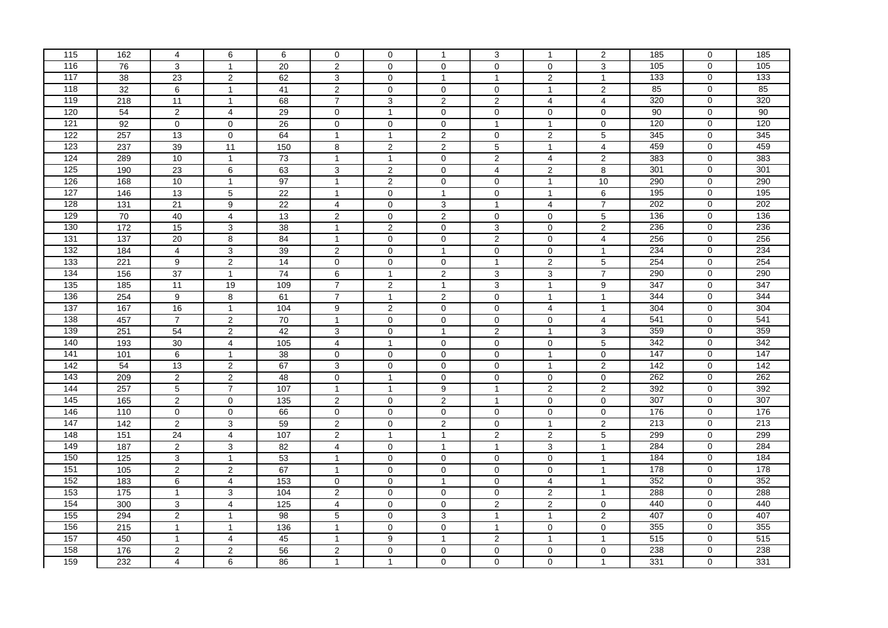| 162<br>$\overline{4}$<br>6<br>6<br>$\mathbf 0$<br>3<br>$\mathbf 0$<br>$\overline{1}$<br>$\overline{1}$<br>105<br>116<br>76<br>3<br>3<br>105<br>0<br>$\mathbf{1}$<br>20<br>$\overline{2}$<br>$\mathbf 0$<br>$\mathbf 0$<br>$\mathbf 0$<br>$\mathbf 0$<br>117<br>$\overline{c}$<br>$\overline{133}$<br>$\overline{133}$<br>38<br>23<br>62<br>3<br>$\overline{2}$<br>$\mathbf{1}$<br>0<br>0<br>$\overline{1}$<br>$\overline{1}$<br>118<br>85<br>0<br>85<br>32<br>$\overline{2}$<br>$\mathbf{2}$<br>6<br>$\mathbf{1}$<br>$\mathbf 0$<br>$\mathbf 0$<br>0<br>41<br>$\overline{1}$<br>119<br>$\overline{7}$<br>$\overline{0}$<br>320<br>218<br>$\overline{11}$<br>$\mathbf{1}$<br>$\overline{2}$<br>$\overline{2}$<br>$\overline{4}$<br>320<br>68<br>3<br>$\overline{4}$<br>120<br>$\overline{c}$<br>$\overline{\mathbf{4}}$<br>90<br>0<br>90<br>54<br>29<br>$\mathbf 0$<br>$\mathbf{1}$<br>$\mathbf 0$<br>$\pmb{0}$<br>$\mathbf 0$<br>0<br>121<br>92<br>120<br>0<br>120<br>$\mathbf 0$<br>0<br>0<br>$\mathbf{1}$<br>$\mathbf{1}$<br>0<br>26<br>$\mathbf 0$<br>$\mathbf 0$<br>122<br>257<br>$\overline{0}$<br>13<br>$\mathbf 0$<br>$\overline{2}$<br>$\pmb{0}$<br>$\overline{2}$<br>5<br>345<br>345<br>64<br>$\mathbf{1}$<br>$\mathbf{1}$<br>123<br>237<br>11<br>$\overline{5}$<br>459<br>0<br>459<br>39<br>150<br>8<br>$\overline{2}$<br>$\overline{2}$<br>$\mathbf{1}$<br>$\overline{4}$<br>124<br>383<br>0<br>383<br>289<br>10<br>$\mathbf{1}$<br>73<br>$\mathbf{1}$<br>$\mathbf{1}$<br>$\mathbf 0$<br>$\overline{2}$<br>$\overline{4}$<br>$\mathbf{2}$<br>125<br>$\overline{0}$<br>190<br>$\overline{23}$<br>6<br>3<br>$\overline{2}$<br>$\mathbf 0$<br>$\overline{\mathbf{4}}$<br>$\overline{2}$<br>8<br>301<br>301<br>63<br>126<br>168<br>$10$<br>290<br>0<br>290<br>10<br>$\mathbf{1}$<br>97<br>$\mathbf{1}$<br>$\overline{2}$<br>0<br>0<br>$\mathbf{1}$<br>127<br>195<br>0<br>5<br>$\,6\,$<br>195<br>146<br>13<br>22<br>$\mathbf{1}$<br>$\pmb{0}$<br>$\overline{1}$<br>$\pmb{0}$<br>$\overline{1}$<br>128<br>$\overline{9}$<br>$\overline{7}$<br>202<br>$\overline{0}$<br>202<br>$\overline{131}$<br>$\overline{21}$<br>$\overline{22}$<br>$\overline{4}$<br>$\mathbf 0$<br>3<br>$\overline{4}$<br>$\mathbf{1}$<br>129<br>136<br>0<br>136<br>70<br>$\overline{\mathbf{4}}$<br>$\overline{2}$<br>2<br>$\,$ 5 $\,$<br>40<br>$\mathbf 0$<br>0<br>$\mathbf 0$<br>13<br>130<br>172<br>236<br>$\mathbf 0$<br>236<br>15<br>3<br>38<br>$\mathbf{1}$<br>$\overline{2}$<br>$\mathbf 0$<br>$\ensuremath{\mathsf{3}}$<br>$\mathbf 0$<br>$\overline{\mathbf{c}}$<br>131<br>137<br>$\overline{8}$<br>$\overline{2}$<br>256<br>$\overline{0}$<br>256<br>20<br>$\mathbf 0$<br>$\pmb{0}$<br>$\mathsf{O}\xspace$<br>$\overline{4}$<br>84<br>$\mathbf{1}$<br>132<br>234<br>234<br>184<br>$\mathbf 0$<br>$\overline{4}$<br>3<br>39<br>$\overline{\mathbf{c}}$<br>$\mathbf 0$<br>$\pmb{0}$<br>$\mathbf 0$<br>$\overline{1}$<br>$\mathbf{1}$<br>$\overline{2}$<br>133<br>221<br>$\overline{9}$<br>$\mathbf{1}$<br>$\overline{2}$<br>$\overline{5}$<br>254<br>$\overline{0}$<br>$\overline{14}$<br>$\mathsf{O}\xspace$<br>$\mathbf 0$<br>$\mathsf 0$<br>254<br>134<br>$\overline{7}$<br>290<br>0<br>290<br>156<br>$\overline{37}$<br>$\mathbf{1}$<br>$\overline{74}$<br>6<br>$\overline{2}$<br>3<br>3<br>$\mathbf{1}$<br>135<br>185<br>19<br>347<br>$\mathbf 0$<br>347<br>11<br>109<br>$\overline{7}$<br>$\overline{2}$<br>3<br>$\mathbf{1}$<br>9<br>$\mathbf{1}$<br>136<br>254<br>$\boldsymbol{9}$<br>8<br>$\overline{7}$<br>$\mathbf{1}$<br>344<br>0<br>344<br>$\mathbf{1}$<br>$\sqrt{2}$<br>$\mathbf 0$<br>$\mathbf{1}$<br>61<br>137<br>304<br>0<br>304<br>167<br>16<br>$\mathbf{1}$<br>9<br>$\overline{2}$<br>$\mathbf 0$<br>$\mathbf{1}$<br>104<br>0<br>4<br>138<br>541<br>541<br>457<br>$\overline{2}$<br>$\mathbf 0$<br>$\overline{7}$<br>70<br>$\mathbf{1}$<br>$\mathbf 0$<br>$\mathbf 0$<br>$\mathbf 0$<br>$\mathbf 0$<br>$\overline{4}$<br>139<br>$\overline{2}$<br>$\overline{2}$<br>$\overline{3}$<br>359<br>0<br>359<br>251<br>54<br>3<br>$\mathbf 0$<br>$\overline{1}$<br>$\mathbf{1}$<br>42<br>140<br>342<br>193<br>$\overline{4}$<br>5<br>0<br>342<br>30<br>105<br>4<br>$\mathbf{1}$<br>0<br>0<br>$\mathbf 0$<br>141<br>147<br>$\mathbf 0$<br>147<br>101<br>6<br>$\pmb{0}$<br>$\mathbf 0$<br>$\mathbf{1}$<br>38<br>$\mathbf 0$<br>$\mathbf 0$<br>$\mathbf 0$<br>$\mathbf{1}$<br>142<br>$\overline{2}$<br>142<br>$\overline{0}$<br>54<br>13<br>$\mathbf{3}$<br>$\pmb{0}$<br>$\overline{1}$<br>$\overline{2}$<br>142<br>67<br>$\mathbf 0$<br>$\mathbf 0$<br>143<br>209<br>$\overline{c}$<br>$\overline{2}$<br>262<br>0<br>262<br>48<br>$\pmb{0}$<br>$\mathbf{1}$<br>$\mathbf 0$<br>$\pmb{0}$<br>$\mathbf 0$<br>0<br>144<br>$\overline{7}$<br>$\overline{2}$<br>$\overline{2}$<br>392<br>0<br>392<br>257<br>5<br>$\mathbf{1}$<br>107<br>$\mathbf{1}$<br>9<br>$\mathbf{1}$<br>145<br>307<br>$\overline{0}$<br>165<br>$\overline{2}$<br>$\mathsf{O}\xspace$<br>$\overline{2}$<br>$\sqrt{2}$<br>$\pmb{0}$<br>307<br>$\mathbf 0$<br>$\mathbf{1}$<br>$\mathbf 0$<br>135<br>146<br>$\overline{0}$<br>176<br>0<br>176<br>110<br>$\mathbf 0$<br>$\mathbf 0$<br>$\pmb{0}$<br>$\mathbf 0$<br>$\mathbf 0$<br>0<br>66<br>0<br>147<br>$\overline{2}$<br>213<br>$\overline{0}$<br>213<br>142<br>$\overline{3}$<br>59<br>$\overline{2}$<br>$\mathsf{O}\xspace$<br>$\overline{2}$<br>$\pmb{0}$<br>$\overline{1}$<br>$\overline{2}$<br>148<br>299<br>299<br>151<br>24<br>$\overline{4}$<br>$\overline{2}$<br>0<br>107<br>$\overline{2}$<br>$\mathbf{1}$<br>$\mathbf{1}$<br>$\sqrt{2}$<br>5<br>149<br>187<br>$\overline{a}$<br>$\mathbf{3}$<br>284<br>0<br>284<br>82<br>4<br>0<br>3<br>$\mathbf{1}$<br>$\mathbf{1}$<br>1<br>184<br>150<br>$\mathbf{1}$<br>0<br>184<br>$\frac{1}{25}$<br>3<br>53<br>$\mathbf{1}$<br>$\mathbf 0$<br>$\mathbf 0$<br>$\overline{1}$<br>$\mathbf 0$<br>0<br>151<br>$\overline{2}$<br>178<br>$\overline{0}$<br>$\frac{105}{2}$<br>$\overline{2}$<br>$\mathbf 0$<br>$\pmb{0}$<br>$\mathsf{O}\xspace$<br>178<br>67<br>$\mathbf{1}$<br>$\mathbf 0$<br>$\overline{1}$<br>$\frac{152}{ }$<br>352<br>0<br>352<br>183<br>6<br>$\overline{\mathbf{4}}$<br>153<br>0<br>$\mathbf 0$<br>0<br>4<br>$\mathbf{1}$<br>$\overline{1}$<br>153<br>288<br>$\overline{0}$<br>175<br>$\overline{3}$<br>$\overline{2}$<br>$\overline{2}$<br>$\overline{1}$<br>288<br>$\overline{1}$<br>$\mathbf 0$<br>$\mathbf 0$<br>$\mathbf 0$<br>104<br>154<br>$\overline{4}$<br>300<br>3<br>$\overline{2}$<br>$\overline{2}$<br>440<br>0<br>440<br>125<br>$\overline{4}$<br>$\mathbf 0$<br>$\mathbf 0$<br>0<br>155<br>$\overline{2}$<br>407<br>407<br>294<br>5<br>3<br>2<br>0<br>$\mathbf{1}$<br>98<br>$\mathbf 0$<br>$\mathbf{1}$<br>1<br>156<br>355<br>$\overline{0}$<br>215<br>$\overline{1}$<br>$\mathbf{1}$<br>$\mathbf{1}$<br>$\mathbf 0$<br>$\mathsf{O}\xspace$<br>$\mathbf 0$<br>355<br>136<br>$\mathbf 0$<br>$\overline{1}$<br>157<br>450<br>$\overline{4}$<br>$\overline{2}$<br>515<br>0<br>515<br>$\mathbf{1}$<br>9<br>$\overline{1}$<br>$\mathbf{1}$<br>$\overline{1}$<br>$\mathbf{1}$<br>45<br>158<br>238<br>238<br>176<br>$\overline{\mathbf{c}}$<br>$\overline{c}$<br>56<br>$\overline{\mathbf{c}}$<br>0<br>0<br>0<br>$\pmb{0}$<br>0<br>0<br>159<br>0<br>$\overline{4}$<br>6<br>0<br>$\mathbf{1}$<br>331<br>331<br>232<br>86<br>$\mathbf{1}$<br>$\mathbf{1}$<br>$\mathbf 0$<br>$\mathbf 0$ |     |  |  |  |  |                |     |             |     |
|-------------------------------------------------------------------------------------------------------------------------------------------------------------------------------------------------------------------------------------------------------------------------------------------------------------------------------------------------------------------------------------------------------------------------------------------------------------------------------------------------------------------------------------------------------------------------------------------------------------------------------------------------------------------------------------------------------------------------------------------------------------------------------------------------------------------------------------------------------------------------------------------------------------------------------------------------------------------------------------------------------------------------------------------------------------------------------------------------------------------------------------------------------------------------------------------------------------------------------------------------------------------------------------------------------------------------------------------------------------------------------------------------------------------------------------------------------------------------------------------------------------------------------------------------------------------------------------------------------------------------------------------------------------------------------------------------------------------------------------------------------------------------------------------------------------------------------------------------------------------------------------------------------------------------------------------------------------------------------------------------------------------------------------------------------------------------------------------------------------------------------------------------------------------------------------------------------------------------------------------------------------------------------------------------------------------------------------------------------------------------------------------------------------------------------------------------------------------------------------------------------------------------------------------------------------------------------------------------------------------------------------------------------------------------------------------------------------------------------------------------------------------------------------------------------------------------------------------------------------------------------------------------------------------------------------------------------------------------------------------------------------------------------------------------------------------------------------------------------------------------------------------------------------------------------------------------------------------------------------------------------------------------------------------------------------------------------------------------------------------------------------------------------------------------------------------------------------------------------------------------------------------------------------------------------------------------------------------------------------------------------------------------------------------------------------------------------------------------------------------------------------------------------------------------------------------------------------------------------------------------------------------------------------------------------------------------------------------------------------------------------------------------------------------------------------------------------------------------------------------------------------------------------------------------------------------------------------------------------------------------------------------------------------------------------------------------------------------------------------------------------------------------------------------------------------------------------------------------------------------------------------------------------------------------------------------------------------------------------------------------------------------------------------------------------------------------------------------------------------------------------------------------------------------------------------------------------------------------------------------------------------------------------------------------------------------------------------------------------------------------------------------------------------------------------------------------------------------------------------------------------------------------------------------------------------------------------------------------------------------------------------------------------------------------------------------------------------------------------------------------------------------------------------------------------------------------------------------------------------------------------------------------------------------------------------------------------------------------------------------------------------------------------------------------------------------------------------------------------------------------------------------------------------------------------------------------------------------------------------------------------------------------------------------------------------------------------------------------------------------------------------------------------------------------------------------------------------------------------------------------------------------------------------------------------------------------------------------------------------------------------------------------------------------------------------------------------------------------------------------------------------------------------------------------------------------------------------------------------------------------------------------------------------------------------------------------------------------------------------------------------------------------------------------------------------------------------------------------------------------------------------------------------------------------------------------------------------------------------------------------------------------------------------------------------------------------------------------------------------------------------------------------------------------------------------------------------------------------------------------------------------------------------------------------------------------------------------------------------------------------------------------------------------------------------------------------------------------------------------------------|-----|--|--|--|--|----------------|-----|-------------|-----|
|                                                                                                                                                                                                                                                                                                                                                                                                                                                                                                                                                                                                                                                                                                                                                                                                                                                                                                                                                                                                                                                                                                                                                                                                                                                                                                                                                                                                                                                                                                                                                                                                                                                                                                                                                                                                                                                                                                                                                                                                                                                                                                                                                                                                                                                                                                                                                                                                                                                                                                                                                                                                                                                                                                                                                                                                                                                                                                                                                                                                                                                                                                                                                                                                                                                                                                                                                                                                                                                                                                                                                                                                                                                                                                                                                                                                                                                                                                                                                                                                                                                                                                                                                                                                                                                                                                                                                                                                                                                                                                                                                                                                                                                                                                                                                                                                                                                                                                                                                                                                                                                                                                                                                                                                                                                                                                                                                                                                                                                                                                                                                                                                                                                                                                                                                                                                                                                                                                                                                                                                                                                                                                                                                                                                                                                                                                                                                                                                                                                                                                                                                                                                                                                                                                                                                                                                                                                                                                                                                                                                                                                                                                                                                                                                                                                                                                                                                                         | 115 |  |  |  |  | $\overline{2}$ | 185 | $\mathbf 0$ | 185 |
|                                                                                                                                                                                                                                                                                                                                                                                                                                                                                                                                                                                                                                                                                                                                                                                                                                                                                                                                                                                                                                                                                                                                                                                                                                                                                                                                                                                                                                                                                                                                                                                                                                                                                                                                                                                                                                                                                                                                                                                                                                                                                                                                                                                                                                                                                                                                                                                                                                                                                                                                                                                                                                                                                                                                                                                                                                                                                                                                                                                                                                                                                                                                                                                                                                                                                                                                                                                                                                                                                                                                                                                                                                                                                                                                                                                                                                                                                                                                                                                                                                                                                                                                                                                                                                                                                                                                                                                                                                                                                                                                                                                                                                                                                                                                                                                                                                                                                                                                                                                                                                                                                                                                                                                                                                                                                                                                                                                                                                                                                                                                                                                                                                                                                                                                                                                                                                                                                                                                                                                                                                                                                                                                                                                                                                                                                                                                                                                                                                                                                                                                                                                                                                                                                                                                                                                                                                                                                                                                                                                                                                                                                                                                                                                                                                                                                                                                                                         |     |  |  |  |  |                |     |             |     |
|                                                                                                                                                                                                                                                                                                                                                                                                                                                                                                                                                                                                                                                                                                                                                                                                                                                                                                                                                                                                                                                                                                                                                                                                                                                                                                                                                                                                                                                                                                                                                                                                                                                                                                                                                                                                                                                                                                                                                                                                                                                                                                                                                                                                                                                                                                                                                                                                                                                                                                                                                                                                                                                                                                                                                                                                                                                                                                                                                                                                                                                                                                                                                                                                                                                                                                                                                                                                                                                                                                                                                                                                                                                                                                                                                                                                                                                                                                                                                                                                                                                                                                                                                                                                                                                                                                                                                                                                                                                                                                                                                                                                                                                                                                                                                                                                                                                                                                                                                                                                                                                                                                                                                                                                                                                                                                                                                                                                                                                                                                                                                                                                                                                                                                                                                                                                                                                                                                                                                                                                                                                                                                                                                                                                                                                                                                                                                                                                                                                                                                                                                                                                                                                                                                                                                                                                                                                                                                                                                                                                                                                                                                                                                                                                                                                                                                                                                                         |     |  |  |  |  |                |     |             |     |
|                                                                                                                                                                                                                                                                                                                                                                                                                                                                                                                                                                                                                                                                                                                                                                                                                                                                                                                                                                                                                                                                                                                                                                                                                                                                                                                                                                                                                                                                                                                                                                                                                                                                                                                                                                                                                                                                                                                                                                                                                                                                                                                                                                                                                                                                                                                                                                                                                                                                                                                                                                                                                                                                                                                                                                                                                                                                                                                                                                                                                                                                                                                                                                                                                                                                                                                                                                                                                                                                                                                                                                                                                                                                                                                                                                                                                                                                                                                                                                                                                                                                                                                                                                                                                                                                                                                                                                                                                                                                                                                                                                                                                                                                                                                                                                                                                                                                                                                                                                                                                                                                                                                                                                                                                                                                                                                                                                                                                                                                                                                                                                                                                                                                                                                                                                                                                                                                                                                                                                                                                                                                                                                                                                                                                                                                                                                                                                                                                                                                                                                                                                                                                                                                                                                                                                                                                                                                                                                                                                                                                                                                                                                                                                                                                                                                                                                                                                         |     |  |  |  |  |                |     |             |     |
|                                                                                                                                                                                                                                                                                                                                                                                                                                                                                                                                                                                                                                                                                                                                                                                                                                                                                                                                                                                                                                                                                                                                                                                                                                                                                                                                                                                                                                                                                                                                                                                                                                                                                                                                                                                                                                                                                                                                                                                                                                                                                                                                                                                                                                                                                                                                                                                                                                                                                                                                                                                                                                                                                                                                                                                                                                                                                                                                                                                                                                                                                                                                                                                                                                                                                                                                                                                                                                                                                                                                                                                                                                                                                                                                                                                                                                                                                                                                                                                                                                                                                                                                                                                                                                                                                                                                                                                                                                                                                                                                                                                                                                                                                                                                                                                                                                                                                                                                                                                                                                                                                                                                                                                                                                                                                                                                                                                                                                                                                                                                                                                                                                                                                                                                                                                                                                                                                                                                                                                                                                                                                                                                                                                                                                                                                                                                                                                                                                                                                                                                                                                                                                                                                                                                                                                                                                                                                                                                                                                                                                                                                                                                                                                                                                                                                                                                                                         |     |  |  |  |  |                |     |             |     |
|                                                                                                                                                                                                                                                                                                                                                                                                                                                                                                                                                                                                                                                                                                                                                                                                                                                                                                                                                                                                                                                                                                                                                                                                                                                                                                                                                                                                                                                                                                                                                                                                                                                                                                                                                                                                                                                                                                                                                                                                                                                                                                                                                                                                                                                                                                                                                                                                                                                                                                                                                                                                                                                                                                                                                                                                                                                                                                                                                                                                                                                                                                                                                                                                                                                                                                                                                                                                                                                                                                                                                                                                                                                                                                                                                                                                                                                                                                                                                                                                                                                                                                                                                                                                                                                                                                                                                                                                                                                                                                                                                                                                                                                                                                                                                                                                                                                                                                                                                                                                                                                                                                                                                                                                                                                                                                                                                                                                                                                                                                                                                                                                                                                                                                                                                                                                                                                                                                                                                                                                                                                                                                                                                                                                                                                                                                                                                                                                                                                                                                                                                                                                                                                                                                                                                                                                                                                                                                                                                                                                                                                                                                                                                                                                                                                                                                                                                                         |     |  |  |  |  |                |     |             |     |
|                                                                                                                                                                                                                                                                                                                                                                                                                                                                                                                                                                                                                                                                                                                                                                                                                                                                                                                                                                                                                                                                                                                                                                                                                                                                                                                                                                                                                                                                                                                                                                                                                                                                                                                                                                                                                                                                                                                                                                                                                                                                                                                                                                                                                                                                                                                                                                                                                                                                                                                                                                                                                                                                                                                                                                                                                                                                                                                                                                                                                                                                                                                                                                                                                                                                                                                                                                                                                                                                                                                                                                                                                                                                                                                                                                                                                                                                                                                                                                                                                                                                                                                                                                                                                                                                                                                                                                                                                                                                                                                                                                                                                                                                                                                                                                                                                                                                                                                                                                                                                                                                                                                                                                                                                                                                                                                                                                                                                                                                                                                                                                                                                                                                                                                                                                                                                                                                                                                                                                                                                                                                                                                                                                                                                                                                                                                                                                                                                                                                                                                                                                                                                                                                                                                                                                                                                                                                                                                                                                                                                                                                                                                                                                                                                                                                                                                                                                         |     |  |  |  |  |                |     |             |     |
|                                                                                                                                                                                                                                                                                                                                                                                                                                                                                                                                                                                                                                                                                                                                                                                                                                                                                                                                                                                                                                                                                                                                                                                                                                                                                                                                                                                                                                                                                                                                                                                                                                                                                                                                                                                                                                                                                                                                                                                                                                                                                                                                                                                                                                                                                                                                                                                                                                                                                                                                                                                                                                                                                                                                                                                                                                                                                                                                                                                                                                                                                                                                                                                                                                                                                                                                                                                                                                                                                                                                                                                                                                                                                                                                                                                                                                                                                                                                                                                                                                                                                                                                                                                                                                                                                                                                                                                                                                                                                                                                                                                                                                                                                                                                                                                                                                                                                                                                                                                                                                                                                                                                                                                                                                                                                                                                                                                                                                                                                                                                                                                                                                                                                                                                                                                                                                                                                                                                                                                                                                                                                                                                                                                                                                                                                                                                                                                                                                                                                                                                                                                                                                                                                                                                                                                                                                                                                                                                                                                                                                                                                                                                                                                                                                                                                                                                                                         |     |  |  |  |  |                |     |             |     |
|                                                                                                                                                                                                                                                                                                                                                                                                                                                                                                                                                                                                                                                                                                                                                                                                                                                                                                                                                                                                                                                                                                                                                                                                                                                                                                                                                                                                                                                                                                                                                                                                                                                                                                                                                                                                                                                                                                                                                                                                                                                                                                                                                                                                                                                                                                                                                                                                                                                                                                                                                                                                                                                                                                                                                                                                                                                                                                                                                                                                                                                                                                                                                                                                                                                                                                                                                                                                                                                                                                                                                                                                                                                                                                                                                                                                                                                                                                                                                                                                                                                                                                                                                                                                                                                                                                                                                                                                                                                                                                                                                                                                                                                                                                                                                                                                                                                                                                                                                                                                                                                                                                                                                                                                                                                                                                                                                                                                                                                                                                                                                                                                                                                                                                                                                                                                                                                                                                                                                                                                                                                                                                                                                                                                                                                                                                                                                                                                                                                                                                                                                                                                                                                                                                                                                                                                                                                                                                                                                                                                                                                                                                                                                                                                                                                                                                                                                                         |     |  |  |  |  |                |     |             |     |
|                                                                                                                                                                                                                                                                                                                                                                                                                                                                                                                                                                                                                                                                                                                                                                                                                                                                                                                                                                                                                                                                                                                                                                                                                                                                                                                                                                                                                                                                                                                                                                                                                                                                                                                                                                                                                                                                                                                                                                                                                                                                                                                                                                                                                                                                                                                                                                                                                                                                                                                                                                                                                                                                                                                                                                                                                                                                                                                                                                                                                                                                                                                                                                                                                                                                                                                                                                                                                                                                                                                                                                                                                                                                                                                                                                                                                                                                                                                                                                                                                                                                                                                                                                                                                                                                                                                                                                                                                                                                                                                                                                                                                                                                                                                                                                                                                                                                                                                                                                                                                                                                                                                                                                                                                                                                                                                                                                                                                                                                                                                                                                                                                                                                                                                                                                                                                                                                                                                                                                                                                                                                                                                                                                                                                                                                                                                                                                                                                                                                                                                                                                                                                                                                                                                                                                                                                                                                                                                                                                                                                                                                                                                                                                                                                                                                                                                                                                         |     |  |  |  |  |                |     |             |     |
|                                                                                                                                                                                                                                                                                                                                                                                                                                                                                                                                                                                                                                                                                                                                                                                                                                                                                                                                                                                                                                                                                                                                                                                                                                                                                                                                                                                                                                                                                                                                                                                                                                                                                                                                                                                                                                                                                                                                                                                                                                                                                                                                                                                                                                                                                                                                                                                                                                                                                                                                                                                                                                                                                                                                                                                                                                                                                                                                                                                                                                                                                                                                                                                                                                                                                                                                                                                                                                                                                                                                                                                                                                                                                                                                                                                                                                                                                                                                                                                                                                                                                                                                                                                                                                                                                                                                                                                                                                                                                                                                                                                                                                                                                                                                                                                                                                                                                                                                                                                                                                                                                                                                                                                                                                                                                                                                                                                                                                                                                                                                                                                                                                                                                                                                                                                                                                                                                                                                                                                                                                                                                                                                                                                                                                                                                                                                                                                                                                                                                                                                                                                                                                                                                                                                                                                                                                                                                                                                                                                                                                                                                                                                                                                                                                                                                                                                                                         |     |  |  |  |  |                |     |             |     |
|                                                                                                                                                                                                                                                                                                                                                                                                                                                                                                                                                                                                                                                                                                                                                                                                                                                                                                                                                                                                                                                                                                                                                                                                                                                                                                                                                                                                                                                                                                                                                                                                                                                                                                                                                                                                                                                                                                                                                                                                                                                                                                                                                                                                                                                                                                                                                                                                                                                                                                                                                                                                                                                                                                                                                                                                                                                                                                                                                                                                                                                                                                                                                                                                                                                                                                                                                                                                                                                                                                                                                                                                                                                                                                                                                                                                                                                                                                                                                                                                                                                                                                                                                                                                                                                                                                                                                                                                                                                                                                                                                                                                                                                                                                                                                                                                                                                                                                                                                                                                                                                                                                                                                                                                                                                                                                                                                                                                                                                                                                                                                                                                                                                                                                                                                                                                                                                                                                                                                                                                                                                                                                                                                                                                                                                                                                                                                                                                                                                                                                                                                                                                                                                                                                                                                                                                                                                                                                                                                                                                                                                                                                                                                                                                                                                                                                                                                                         |     |  |  |  |  |                |     |             |     |
|                                                                                                                                                                                                                                                                                                                                                                                                                                                                                                                                                                                                                                                                                                                                                                                                                                                                                                                                                                                                                                                                                                                                                                                                                                                                                                                                                                                                                                                                                                                                                                                                                                                                                                                                                                                                                                                                                                                                                                                                                                                                                                                                                                                                                                                                                                                                                                                                                                                                                                                                                                                                                                                                                                                                                                                                                                                                                                                                                                                                                                                                                                                                                                                                                                                                                                                                                                                                                                                                                                                                                                                                                                                                                                                                                                                                                                                                                                                                                                                                                                                                                                                                                                                                                                                                                                                                                                                                                                                                                                                                                                                                                                                                                                                                                                                                                                                                                                                                                                                                                                                                                                                                                                                                                                                                                                                                                                                                                                                                                                                                                                                                                                                                                                                                                                                                                                                                                                                                                                                                                                                                                                                                                                                                                                                                                                                                                                                                                                                                                                                                                                                                                                                                                                                                                                                                                                                                                                                                                                                                                                                                                                                                                                                                                                                                                                                                                                         |     |  |  |  |  |                |     |             |     |
|                                                                                                                                                                                                                                                                                                                                                                                                                                                                                                                                                                                                                                                                                                                                                                                                                                                                                                                                                                                                                                                                                                                                                                                                                                                                                                                                                                                                                                                                                                                                                                                                                                                                                                                                                                                                                                                                                                                                                                                                                                                                                                                                                                                                                                                                                                                                                                                                                                                                                                                                                                                                                                                                                                                                                                                                                                                                                                                                                                                                                                                                                                                                                                                                                                                                                                                                                                                                                                                                                                                                                                                                                                                                                                                                                                                                                                                                                                                                                                                                                                                                                                                                                                                                                                                                                                                                                                                                                                                                                                                                                                                                                                                                                                                                                                                                                                                                                                                                                                                                                                                                                                                                                                                                                                                                                                                                                                                                                                                                                                                                                                                                                                                                                                                                                                                                                                                                                                                                                                                                                                                                                                                                                                                                                                                                                                                                                                                                                                                                                                                                                                                                                                                                                                                                                                                                                                                                                                                                                                                                                                                                                                                                                                                                                                                                                                                                                                         |     |  |  |  |  |                |     |             |     |
|                                                                                                                                                                                                                                                                                                                                                                                                                                                                                                                                                                                                                                                                                                                                                                                                                                                                                                                                                                                                                                                                                                                                                                                                                                                                                                                                                                                                                                                                                                                                                                                                                                                                                                                                                                                                                                                                                                                                                                                                                                                                                                                                                                                                                                                                                                                                                                                                                                                                                                                                                                                                                                                                                                                                                                                                                                                                                                                                                                                                                                                                                                                                                                                                                                                                                                                                                                                                                                                                                                                                                                                                                                                                                                                                                                                                                                                                                                                                                                                                                                                                                                                                                                                                                                                                                                                                                                                                                                                                                                                                                                                                                                                                                                                                                                                                                                                                                                                                                                                                                                                                                                                                                                                                                                                                                                                                                                                                                                                                                                                                                                                                                                                                                                                                                                                                                                                                                                                                                                                                                                                                                                                                                                                                                                                                                                                                                                                                                                                                                                                                                                                                                                                                                                                                                                                                                                                                                                                                                                                                                                                                                                                                                                                                                                                                                                                                                                         |     |  |  |  |  |                |     |             |     |
|                                                                                                                                                                                                                                                                                                                                                                                                                                                                                                                                                                                                                                                                                                                                                                                                                                                                                                                                                                                                                                                                                                                                                                                                                                                                                                                                                                                                                                                                                                                                                                                                                                                                                                                                                                                                                                                                                                                                                                                                                                                                                                                                                                                                                                                                                                                                                                                                                                                                                                                                                                                                                                                                                                                                                                                                                                                                                                                                                                                                                                                                                                                                                                                                                                                                                                                                                                                                                                                                                                                                                                                                                                                                                                                                                                                                                                                                                                                                                                                                                                                                                                                                                                                                                                                                                                                                                                                                                                                                                                                                                                                                                                                                                                                                                                                                                                                                                                                                                                                                                                                                                                                                                                                                                                                                                                                                                                                                                                                                                                                                                                                                                                                                                                                                                                                                                                                                                                                                                                                                                                                                                                                                                                                                                                                                                                                                                                                                                                                                                                                                                                                                                                                                                                                                                                                                                                                                                                                                                                                                                                                                                                                                                                                                                                                                                                                                                                         |     |  |  |  |  |                |     |             |     |
|                                                                                                                                                                                                                                                                                                                                                                                                                                                                                                                                                                                                                                                                                                                                                                                                                                                                                                                                                                                                                                                                                                                                                                                                                                                                                                                                                                                                                                                                                                                                                                                                                                                                                                                                                                                                                                                                                                                                                                                                                                                                                                                                                                                                                                                                                                                                                                                                                                                                                                                                                                                                                                                                                                                                                                                                                                                                                                                                                                                                                                                                                                                                                                                                                                                                                                                                                                                                                                                                                                                                                                                                                                                                                                                                                                                                                                                                                                                                                                                                                                                                                                                                                                                                                                                                                                                                                                                                                                                                                                                                                                                                                                                                                                                                                                                                                                                                                                                                                                                                                                                                                                                                                                                                                                                                                                                                                                                                                                                                                                                                                                                                                                                                                                                                                                                                                                                                                                                                                                                                                                                                                                                                                                                                                                                                                                                                                                                                                                                                                                                                                                                                                                                                                                                                                                                                                                                                                                                                                                                                                                                                                                                                                                                                                                                                                                                                                                         |     |  |  |  |  |                |     |             |     |
|                                                                                                                                                                                                                                                                                                                                                                                                                                                                                                                                                                                                                                                                                                                                                                                                                                                                                                                                                                                                                                                                                                                                                                                                                                                                                                                                                                                                                                                                                                                                                                                                                                                                                                                                                                                                                                                                                                                                                                                                                                                                                                                                                                                                                                                                                                                                                                                                                                                                                                                                                                                                                                                                                                                                                                                                                                                                                                                                                                                                                                                                                                                                                                                                                                                                                                                                                                                                                                                                                                                                                                                                                                                                                                                                                                                                                                                                                                                                                                                                                                                                                                                                                                                                                                                                                                                                                                                                                                                                                                                                                                                                                                                                                                                                                                                                                                                                                                                                                                                                                                                                                                                                                                                                                                                                                                                                                                                                                                                                                                                                                                                                                                                                                                                                                                                                                                                                                                                                                                                                                                                                                                                                                                                                                                                                                                                                                                                                                                                                                                                                                                                                                                                                                                                                                                                                                                                                                                                                                                                                                                                                                                                                                                                                                                                                                                                                                                         |     |  |  |  |  |                |     |             |     |
|                                                                                                                                                                                                                                                                                                                                                                                                                                                                                                                                                                                                                                                                                                                                                                                                                                                                                                                                                                                                                                                                                                                                                                                                                                                                                                                                                                                                                                                                                                                                                                                                                                                                                                                                                                                                                                                                                                                                                                                                                                                                                                                                                                                                                                                                                                                                                                                                                                                                                                                                                                                                                                                                                                                                                                                                                                                                                                                                                                                                                                                                                                                                                                                                                                                                                                                                                                                                                                                                                                                                                                                                                                                                                                                                                                                                                                                                                                                                                                                                                                                                                                                                                                                                                                                                                                                                                                                                                                                                                                                                                                                                                                                                                                                                                                                                                                                                                                                                                                                                                                                                                                                                                                                                                                                                                                                                                                                                                                                                                                                                                                                                                                                                                                                                                                                                                                                                                                                                                                                                                                                                                                                                                                                                                                                                                                                                                                                                                                                                                                                                                                                                                                                                                                                                                                                                                                                                                                                                                                                                                                                                                                                                                                                                                                                                                                                                                                         |     |  |  |  |  |                |     |             |     |
|                                                                                                                                                                                                                                                                                                                                                                                                                                                                                                                                                                                                                                                                                                                                                                                                                                                                                                                                                                                                                                                                                                                                                                                                                                                                                                                                                                                                                                                                                                                                                                                                                                                                                                                                                                                                                                                                                                                                                                                                                                                                                                                                                                                                                                                                                                                                                                                                                                                                                                                                                                                                                                                                                                                                                                                                                                                                                                                                                                                                                                                                                                                                                                                                                                                                                                                                                                                                                                                                                                                                                                                                                                                                                                                                                                                                                                                                                                                                                                                                                                                                                                                                                                                                                                                                                                                                                                                                                                                                                                                                                                                                                                                                                                                                                                                                                                                                                                                                                                                                                                                                                                                                                                                                                                                                                                                                                                                                                                                                                                                                                                                                                                                                                                                                                                                                                                                                                                                                                                                                                                                                                                                                                                                                                                                                                                                                                                                                                                                                                                                                                                                                                                                                                                                                                                                                                                                                                                                                                                                                                                                                                                                                                                                                                                                                                                                                                                         |     |  |  |  |  |                |     |             |     |
|                                                                                                                                                                                                                                                                                                                                                                                                                                                                                                                                                                                                                                                                                                                                                                                                                                                                                                                                                                                                                                                                                                                                                                                                                                                                                                                                                                                                                                                                                                                                                                                                                                                                                                                                                                                                                                                                                                                                                                                                                                                                                                                                                                                                                                                                                                                                                                                                                                                                                                                                                                                                                                                                                                                                                                                                                                                                                                                                                                                                                                                                                                                                                                                                                                                                                                                                                                                                                                                                                                                                                                                                                                                                                                                                                                                                                                                                                                                                                                                                                                                                                                                                                                                                                                                                                                                                                                                                                                                                                                                                                                                                                                                                                                                                                                                                                                                                                                                                                                                                                                                                                                                                                                                                                                                                                                                                                                                                                                                                                                                                                                                                                                                                                                                                                                                                                                                                                                                                                                                                                                                                                                                                                                                                                                                                                                                                                                                                                                                                                                                                                                                                                                                                                                                                                                                                                                                                                                                                                                                                                                                                                                                                                                                                                                                                                                                                                                         |     |  |  |  |  |                |     |             |     |
|                                                                                                                                                                                                                                                                                                                                                                                                                                                                                                                                                                                                                                                                                                                                                                                                                                                                                                                                                                                                                                                                                                                                                                                                                                                                                                                                                                                                                                                                                                                                                                                                                                                                                                                                                                                                                                                                                                                                                                                                                                                                                                                                                                                                                                                                                                                                                                                                                                                                                                                                                                                                                                                                                                                                                                                                                                                                                                                                                                                                                                                                                                                                                                                                                                                                                                                                                                                                                                                                                                                                                                                                                                                                                                                                                                                                                                                                                                                                                                                                                                                                                                                                                                                                                                                                                                                                                                                                                                                                                                                                                                                                                                                                                                                                                                                                                                                                                                                                                                                                                                                                                                                                                                                                                                                                                                                                                                                                                                                                                                                                                                                                                                                                                                                                                                                                                                                                                                                                                                                                                                                                                                                                                                                                                                                                                                                                                                                                                                                                                                                                                                                                                                                                                                                                                                                                                                                                                                                                                                                                                                                                                                                                                                                                                                                                                                                                                                         |     |  |  |  |  |                |     |             |     |
|                                                                                                                                                                                                                                                                                                                                                                                                                                                                                                                                                                                                                                                                                                                                                                                                                                                                                                                                                                                                                                                                                                                                                                                                                                                                                                                                                                                                                                                                                                                                                                                                                                                                                                                                                                                                                                                                                                                                                                                                                                                                                                                                                                                                                                                                                                                                                                                                                                                                                                                                                                                                                                                                                                                                                                                                                                                                                                                                                                                                                                                                                                                                                                                                                                                                                                                                                                                                                                                                                                                                                                                                                                                                                                                                                                                                                                                                                                                                                                                                                                                                                                                                                                                                                                                                                                                                                                                                                                                                                                                                                                                                                                                                                                                                                                                                                                                                                                                                                                                                                                                                                                                                                                                                                                                                                                                                                                                                                                                                                                                                                                                                                                                                                                                                                                                                                                                                                                                                                                                                                                                                                                                                                                                                                                                                                                                                                                                                                                                                                                                                                                                                                                                                                                                                                                                                                                                                                                                                                                                                                                                                                                                                                                                                                                                                                                                                                                         |     |  |  |  |  |                |     |             |     |
|                                                                                                                                                                                                                                                                                                                                                                                                                                                                                                                                                                                                                                                                                                                                                                                                                                                                                                                                                                                                                                                                                                                                                                                                                                                                                                                                                                                                                                                                                                                                                                                                                                                                                                                                                                                                                                                                                                                                                                                                                                                                                                                                                                                                                                                                                                                                                                                                                                                                                                                                                                                                                                                                                                                                                                                                                                                                                                                                                                                                                                                                                                                                                                                                                                                                                                                                                                                                                                                                                                                                                                                                                                                                                                                                                                                                                                                                                                                                                                                                                                                                                                                                                                                                                                                                                                                                                                                                                                                                                                                                                                                                                                                                                                                                                                                                                                                                                                                                                                                                                                                                                                                                                                                                                                                                                                                                                                                                                                                                                                                                                                                                                                                                                                                                                                                                                                                                                                                                                                                                                                                                                                                                                                                                                                                                                                                                                                                                                                                                                                                                                                                                                                                                                                                                                                                                                                                                                                                                                                                                                                                                                                                                                                                                                                                                                                                                                                         |     |  |  |  |  |                |     |             |     |
|                                                                                                                                                                                                                                                                                                                                                                                                                                                                                                                                                                                                                                                                                                                                                                                                                                                                                                                                                                                                                                                                                                                                                                                                                                                                                                                                                                                                                                                                                                                                                                                                                                                                                                                                                                                                                                                                                                                                                                                                                                                                                                                                                                                                                                                                                                                                                                                                                                                                                                                                                                                                                                                                                                                                                                                                                                                                                                                                                                                                                                                                                                                                                                                                                                                                                                                                                                                                                                                                                                                                                                                                                                                                                                                                                                                                                                                                                                                                                                                                                                                                                                                                                                                                                                                                                                                                                                                                                                                                                                                                                                                                                                                                                                                                                                                                                                                                                                                                                                                                                                                                                                                                                                                                                                                                                                                                                                                                                                                                                                                                                                                                                                                                                                                                                                                                                                                                                                                                                                                                                                                                                                                                                                                                                                                                                                                                                                                                                                                                                                                                                                                                                                                                                                                                                                                                                                                                                                                                                                                                                                                                                                                                                                                                                                                                                                                                                                         |     |  |  |  |  |                |     |             |     |
|                                                                                                                                                                                                                                                                                                                                                                                                                                                                                                                                                                                                                                                                                                                                                                                                                                                                                                                                                                                                                                                                                                                                                                                                                                                                                                                                                                                                                                                                                                                                                                                                                                                                                                                                                                                                                                                                                                                                                                                                                                                                                                                                                                                                                                                                                                                                                                                                                                                                                                                                                                                                                                                                                                                                                                                                                                                                                                                                                                                                                                                                                                                                                                                                                                                                                                                                                                                                                                                                                                                                                                                                                                                                                                                                                                                                                                                                                                                                                                                                                                                                                                                                                                                                                                                                                                                                                                                                                                                                                                                                                                                                                                                                                                                                                                                                                                                                                                                                                                                                                                                                                                                                                                                                                                                                                                                                                                                                                                                                                                                                                                                                                                                                                                                                                                                                                                                                                                                                                                                                                                                                                                                                                                                                                                                                                                                                                                                                                                                                                                                                                                                                                                                                                                                                                                                                                                                                                                                                                                                                                                                                                                                                                                                                                                                                                                                                                                         |     |  |  |  |  |                |     |             |     |
|                                                                                                                                                                                                                                                                                                                                                                                                                                                                                                                                                                                                                                                                                                                                                                                                                                                                                                                                                                                                                                                                                                                                                                                                                                                                                                                                                                                                                                                                                                                                                                                                                                                                                                                                                                                                                                                                                                                                                                                                                                                                                                                                                                                                                                                                                                                                                                                                                                                                                                                                                                                                                                                                                                                                                                                                                                                                                                                                                                                                                                                                                                                                                                                                                                                                                                                                                                                                                                                                                                                                                                                                                                                                                                                                                                                                                                                                                                                                                                                                                                                                                                                                                                                                                                                                                                                                                                                                                                                                                                                                                                                                                                                                                                                                                                                                                                                                                                                                                                                                                                                                                                                                                                                                                                                                                                                                                                                                                                                                                                                                                                                                                                                                                                                                                                                                                                                                                                                                                                                                                                                                                                                                                                                                                                                                                                                                                                                                                                                                                                                                                                                                                                                                                                                                                                                                                                                                                                                                                                                                                                                                                                                                                                                                                                                                                                                                                                         |     |  |  |  |  |                |     |             |     |
|                                                                                                                                                                                                                                                                                                                                                                                                                                                                                                                                                                                                                                                                                                                                                                                                                                                                                                                                                                                                                                                                                                                                                                                                                                                                                                                                                                                                                                                                                                                                                                                                                                                                                                                                                                                                                                                                                                                                                                                                                                                                                                                                                                                                                                                                                                                                                                                                                                                                                                                                                                                                                                                                                                                                                                                                                                                                                                                                                                                                                                                                                                                                                                                                                                                                                                                                                                                                                                                                                                                                                                                                                                                                                                                                                                                                                                                                                                                                                                                                                                                                                                                                                                                                                                                                                                                                                                                                                                                                                                                                                                                                                                                                                                                                                                                                                                                                                                                                                                                                                                                                                                                                                                                                                                                                                                                                                                                                                                                                                                                                                                                                                                                                                                                                                                                                                                                                                                                                                                                                                                                                                                                                                                                                                                                                                                                                                                                                                                                                                                                                                                                                                                                                                                                                                                                                                                                                                                                                                                                                                                                                                                                                                                                                                                                                                                                                                                         |     |  |  |  |  |                |     |             |     |
|                                                                                                                                                                                                                                                                                                                                                                                                                                                                                                                                                                                                                                                                                                                                                                                                                                                                                                                                                                                                                                                                                                                                                                                                                                                                                                                                                                                                                                                                                                                                                                                                                                                                                                                                                                                                                                                                                                                                                                                                                                                                                                                                                                                                                                                                                                                                                                                                                                                                                                                                                                                                                                                                                                                                                                                                                                                                                                                                                                                                                                                                                                                                                                                                                                                                                                                                                                                                                                                                                                                                                                                                                                                                                                                                                                                                                                                                                                                                                                                                                                                                                                                                                                                                                                                                                                                                                                                                                                                                                                                                                                                                                                                                                                                                                                                                                                                                                                                                                                                                                                                                                                                                                                                                                                                                                                                                                                                                                                                                                                                                                                                                                                                                                                                                                                                                                                                                                                                                                                                                                                                                                                                                                                                                                                                                                                                                                                                                                                                                                                                                                                                                                                                                                                                                                                                                                                                                                                                                                                                                                                                                                                                                                                                                                                                                                                                                                                         |     |  |  |  |  |                |     |             |     |
|                                                                                                                                                                                                                                                                                                                                                                                                                                                                                                                                                                                                                                                                                                                                                                                                                                                                                                                                                                                                                                                                                                                                                                                                                                                                                                                                                                                                                                                                                                                                                                                                                                                                                                                                                                                                                                                                                                                                                                                                                                                                                                                                                                                                                                                                                                                                                                                                                                                                                                                                                                                                                                                                                                                                                                                                                                                                                                                                                                                                                                                                                                                                                                                                                                                                                                                                                                                                                                                                                                                                                                                                                                                                                                                                                                                                                                                                                                                                                                                                                                                                                                                                                                                                                                                                                                                                                                                                                                                                                                                                                                                                                                                                                                                                                                                                                                                                                                                                                                                                                                                                                                                                                                                                                                                                                                                                                                                                                                                                                                                                                                                                                                                                                                                                                                                                                                                                                                                                                                                                                                                                                                                                                                                                                                                                                                                                                                                                                                                                                                                                                                                                                                                                                                                                                                                                                                                                                                                                                                                                                                                                                                                                                                                                                                                                                                                                                                         |     |  |  |  |  |                |     |             |     |
|                                                                                                                                                                                                                                                                                                                                                                                                                                                                                                                                                                                                                                                                                                                                                                                                                                                                                                                                                                                                                                                                                                                                                                                                                                                                                                                                                                                                                                                                                                                                                                                                                                                                                                                                                                                                                                                                                                                                                                                                                                                                                                                                                                                                                                                                                                                                                                                                                                                                                                                                                                                                                                                                                                                                                                                                                                                                                                                                                                                                                                                                                                                                                                                                                                                                                                                                                                                                                                                                                                                                                                                                                                                                                                                                                                                                                                                                                                                                                                                                                                                                                                                                                                                                                                                                                                                                                                                                                                                                                                                                                                                                                                                                                                                                                                                                                                                                                                                                                                                                                                                                                                                                                                                                                                                                                                                                                                                                                                                                                                                                                                                                                                                                                                                                                                                                                                                                                                                                                                                                                                                                                                                                                                                                                                                                                                                                                                                                                                                                                                                                                                                                                                                                                                                                                                                                                                                                                                                                                                                                                                                                                                                                                                                                                                                                                                                                                                         |     |  |  |  |  |                |     |             |     |
|                                                                                                                                                                                                                                                                                                                                                                                                                                                                                                                                                                                                                                                                                                                                                                                                                                                                                                                                                                                                                                                                                                                                                                                                                                                                                                                                                                                                                                                                                                                                                                                                                                                                                                                                                                                                                                                                                                                                                                                                                                                                                                                                                                                                                                                                                                                                                                                                                                                                                                                                                                                                                                                                                                                                                                                                                                                                                                                                                                                                                                                                                                                                                                                                                                                                                                                                                                                                                                                                                                                                                                                                                                                                                                                                                                                                                                                                                                                                                                                                                                                                                                                                                                                                                                                                                                                                                                                                                                                                                                                                                                                                                                                                                                                                                                                                                                                                                                                                                                                                                                                                                                                                                                                                                                                                                                                                                                                                                                                                                                                                                                                                                                                                                                                                                                                                                                                                                                                                                                                                                                                                                                                                                                                                                                                                                                                                                                                                                                                                                                                                                                                                                                                                                                                                                                                                                                                                                                                                                                                                                                                                                                                                                                                                                                                                                                                                                                         |     |  |  |  |  |                |     |             |     |
|                                                                                                                                                                                                                                                                                                                                                                                                                                                                                                                                                                                                                                                                                                                                                                                                                                                                                                                                                                                                                                                                                                                                                                                                                                                                                                                                                                                                                                                                                                                                                                                                                                                                                                                                                                                                                                                                                                                                                                                                                                                                                                                                                                                                                                                                                                                                                                                                                                                                                                                                                                                                                                                                                                                                                                                                                                                                                                                                                                                                                                                                                                                                                                                                                                                                                                                                                                                                                                                                                                                                                                                                                                                                                                                                                                                                                                                                                                                                                                                                                                                                                                                                                                                                                                                                                                                                                                                                                                                                                                                                                                                                                                                                                                                                                                                                                                                                                                                                                                                                                                                                                                                                                                                                                                                                                                                                                                                                                                                                                                                                                                                                                                                                                                                                                                                                                                                                                                                                                                                                                                                                                                                                                                                                                                                                                                                                                                                                                                                                                                                                                                                                                                                                                                                                                                                                                                                                                                                                                                                                                                                                                                                                                                                                                                                                                                                                                                         |     |  |  |  |  |                |     |             |     |
|                                                                                                                                                                                                                                                                                                                                                                                                                                                                                                                                                                                                                                                                                                                                                                                                                                                                                                                                                                                                                                                                                                                                                                                                                                                                                                                                                                                                                                                                                                                                                                                                                                                                                                                                                                                                                                                                                                                                                                                                                                                                                                                                                                                                                                                                                                                                                                                                                                                                                                                                                                                                                                                                                                                                                                                                                                                                                                                                                                                                                                                                                                                                                                                                                                                                                                                                                                                                                                                                                                                                                                                                                                                                                                                                                                                                                                                                                                                                                                                                                                                                                                                                                                                                                                                                                                                                                                                                                                                                                                                                                                                                                                                                                                                                                                                                                                                                                                                                                                                                                                                                                                                                                                                                                                                                                                                                                                                                                                                                                                                                                                                                                                                                                                                                                                                                                                                                                                                                                                                                                                                                                                                                                                                                                                                                                                                                                                                                                                                                                                                                                                                                                                                                                                                                                                                                                                                                                                                                                                                                                                                                                                                                                                                                                                                                                                                                                                         |     |  |  |  |  |                |     |             |     |
|                                                                                                                                                                                                                                                                                                                                                                                                                                                                                                                                                                                                                                                                                                                                                                                                                                                                                                                                                                                                                                                                                                                                                                                                                                                                                                                                                                                                                                                                                                                                                                                                                                                                                                                                                                                                                                                                                                                                                                                                                                                                                                                                                                                                                                                                                                                                                                                                                                                                                                                                                                                                                                                                                                                                                                                                                                                                                                                                                                                                                                                                                                                                                                                                                                                                                                                                                                                                                                                                                                                                                                                                                                                                                                                                                                                                                                                                                                                                                                                                                                                                                                                                                                                                                                                                                                                                                                                                                                                                                                                                                                                                                                                                                                                                                                                                                                                                                                                                                                                                                                                                                                                                                                                                                                                                                                                                                                                                                                                                                                                                                                                                                                                                                                                                                                                                                                                                                                                                                                                                                                                                                                                                                                                                                                                                                                                                                                                                                                                                                                                                                                                                                                                                                                                                                                                                                                                                                                                                                                                                                                                                                                                                                                                                                                                                                                                                                                         |     |  |  |  |  |                |     |             |     |
|                                                                                                                                                                                                                                                                                                                                                                                                                                                                                                                                                                                                                                                                                                                                                                                                                                                                                                                                                                                                                                                                                                                                                                                                                                                                                                                                                                                                                                                                                                                                                                                                                                                                                                                                                                                                                                                                                                                                                                                                                                                                                                                                                                                                                                                                                                                                                                                                                                                                                                                                                                                                                                                                                                                                                                                                                                                                                                                                                                                                                                                                                                                                                                                                                                                                                                                                                                                                                                                                                                                                                                                                                                                                                                                                                                                                                                                                                                                                                                                                                                                                                                                                                                                                                                                                                                                                                                                                                                                                                                                                                                                                                                                                                                                                                                                                                                                                                                                                                                                                                                                                                                                                                                                                                                                                                                                                                                                                                                                                                                                                                                                                                                                                                                                                                                                                                                                                                                                                                                                                                                                                                                                                                                                                                                                                                                                                                                                                                                                                                                                                                                                                                                                                                                                                                                                                                                                                                                                                                                                                                                                                                                                                                                                                                                                                                                                                                                         |     |  |  |  |  |                |     |             |     |
|                                                                                                                                                                                                                                                                                                                                                                                                                                                                                                                                                                                                                                                                                                                                                                                                                                                                                                                                                                                                                                                                                                                                                                                                                                                                                                                                                                                                                                                                                                                                                                                                                                                                                                                                                                                                                                                                                                                                                                                                                                                                                                                                                                                                                                                                                                                                                                                                                                                                                                                                                                                                                                                                                                                                                                                                                                                                                                                                                                                                                                                                                                                                                                                                                                                                                                                                                                                                                                                                                                                                                                                                                                                                                                                                                                                                                                                                                                                                                                                                                                                                                                                                                                                                                                                                                                                                                                                                                                                                                                                                                                                                                                                                                                                                                                                                                                                                                                                                                                                                                                                                                                                                                                                                                                                                                                                                                                                                                                                                                                                                                                                                                                                                                                                                                                                                                                                                                                                                                                                                                                                                                                                                                                                                                                                                                                                                                                                                                                                                                                                                                                                                                                                                                                                                                                                                                                                                                                                                                                                                                                                                                                                                                                                                                                                                                                                                                                         |     |  |  |  |  |                |     |             |     |
|                                                                                                                                                                                                                                                                                                                                                                                                                                                                                                                                                                                                                                                                                                                                                                                                                                                                                                                                                                                                                                                                                                                                                                                                                                                                                                                                                                                                                                                                                                                                                                                                                                                                                                                                                                                                                                                                                                                                                                                                                                                                                                                                                                                                                                                                                                                                                                                                                                                                                                                                                                                                                                                                                                                                                                                                                                                                                                                                                                                                                                                                                                                                                                                                                                                                                                                                                                                                                                                                                                                                                                                                                                                                                                                                                                                                                                                                                                                                                                                                                                                                                                                                                                                                                                                                                                                                                                                                                                                                                                                                                                                                                                                                                                                                                                                                                                                                                                                                                                                                                                                                                                                                                                                                                                                                                                                                                                                                                                                                                                                                                                                                                                                                                                                                                                                                                                                                                                                                                                                                                                                                                                                                                                                                                                                                                                                                                                                                                                                                                                                                                                                                                                                                                                                                                                                                                                                                                                                                                                                                                                                                                                                                                                                                                                                                                                                                                                         |     |  |  |  |  |                |     |             |     |
|                                                                                                                                                                                                                                                                                                                                                                                                                                                                                                                                                                                                                                                                                                                                                                                                                                                                                                                                                                                                                                                                                                                                                                                                                                                                                                                                                                                                                                                                                                                                                                                                                                                                                                                                                                                                                                                                                                                                                                                                                                                                                                                                                                                                                                                                                                                                                                                                                                                                                                                                                                                                                                                                                                                                                                                                                                                                                                                                                                                                                                                                                                                                                                                                                                                                                                                                                                                                                                                                                                                                                                                                                                                                                                                                                                                                                                                                                                                                                                                                                                                                                                                                                                                                                                                                                                                                                                                                                                                                                                                                                                                                                                                                                                                                                                                                                                                                                                                                                                                                                                                                                                                                                                                                                                                                                                                                                                                                                                                                                                                                                                                                                                                                                                                                                                                                                                                                                                                                                                                                                                                                                                                                                                                                                                                                                                                                                                                                                                                                                                                                                                                                                                                                                                                                                                                                                                                                                                                                                                                                                                                                                                                                                                                                                                                                                                                                                                         |     |  |  |  |  |                |     |             |     |
|                                                                                                                                                                                                                                                                                                                                                                                                                                                                                                                                                                                                                                                                                                                                                                                                                                                                                                                                                                                                                                                                                                                                                                                                                                                                                                                                                                                                                                                                                                                                                                                                                                                                                                                                                                                                                                                                                                                                                                                                                                                                                                                                                                                                                                                                                                                                                                                                                                                                                                                                                                                                                                                                                                                                                                                                                                                                                                                                                                                                                                                                                                                                                                                                                                                                                                                                                                                                                                                                                                                                                                                                                                                                                                                                                                                                                                                                                                                                                                                                                                                                                                                                                                                                                                                                                                                                                                                                                                                                                                                                                                                                                                                                                                                                                                                                                                                                                                                                                                                                                                                                                                                                                                                                                                                                                                                                                                                                                                                                                                                                                                                                                                                                                                                                                                                                                                                                                                                                                                                                                                                                                                                                                                                                                                                                                                                                                                                                                                                                                                                                                                                                                                                                                                                                                                                                                                                                                                                                                                                                                                                                                                                                                                                                                                                                                                                                                                         |     |  |  |  |  |                |     |             |     |
|                                                                                                                                                                                                                                                                                                                                                                                                                                                                                                                                                                                                                                                                                                                                                                                                                                                                                                                                                                                                                                                                                                                                                                                                                                                                                                                                                                                                                                                                                                                                                                                                                                                                                                                                                                                                                                                                                                                                                                                                                                                                                                                                                                                                                                                                                                                                                                                                                                                                                                                                                                                                                                                                                                                                                                                                                                                                                                                                                                                                                                                                                                                                                                                                                                                                                                                                                                                                                                                                                                                                                                                                                                                                                                                                                                                                                                                                                                                                                                                                                                                                                                                                                                                                                                                                                                                                                                                                                                                                                                                                                                                                                                                                                                                                                                                                                                                                                                                                                                                                                                                                                                                                                                                                                                                                                                                                                                                                                                                                                                                                                                                                                                                                                                                                                                                                                                                                                                                                                                                                                                                                                                                                                                                                                                                                                                                                                                                                                                                                                                                                                                                                                                                                                                                                                                                                                                                                                                                                                                                                                                                                                                                                                                                                                                                                                                                                                                         |     |  |  |  |  |                |     |             |     |
|                                                                                                                                                                                                                                                                                                                                                                                                                                                                                                                                                                                                                                                                                                                                                                                                                                                                                                                                                                                                                                                                                                                                                                                                                                                                                                                                                                                                                                                                                                                                                                                                                                                                                                                                                                                                                                                                                                                                                                                                                                                                                                                                                                                                                                                                                                                                                                                                                                                                                                                                                                                                                                                                                                                                                                                                                                                                                                                                                                                                                                                                                                                                                                                                                                                                                                                                                                                                                                                                                                                                                                                                                                                                                                                                                                                                                                                                                                                                                                                                                                                                                                                                                                                                                                                                                                                                                                                                                                                                                                                                                                                                                                                                                                                                                                                                                                                                                                                                                                                                                                                                                                                                                                                                                                                                                                                                                                                                                                                                                                                                                                                                                                                                                                                                                                                                                                                                                                                                                                                                                                                                                                                                                                                                                                                                                                                                                                                                                                                                                                                                                                                                                                                                                                                                                                                                                                                                                                                                                                                                                                                                                                                                                                                                                                                                                                                                                                         |     |  |  |  |  |                |     |             |     |
|                                                                                                                                                                                                                                                                                                                                                                                                                                                                                                                                                                                                                                                                                                                                                                                                                                                                                                                                                                                                                                                                                                                                                                                                                                                                                                                                                                                                                                                                                                                                                                                                                                                                                                                                                                                                                                                                                                                                                                                                                                                                                                                                                                                                                                                                                                                                                                                                                                                                                                                                                                                                                                                                                                                                                                                                                                                                                                                                                                                                                                                                                                                                                                                                                                                                                                                                                                                                                                                                                                                                                                                                                                                                                                                                                                                                                                                                                                                                                                                                                                                                                                                                                                                                                                                                                                                                                                                                                                                                                                                                                                                                                                                                                                                                                                                                                                                                                                                                                                                                                                                                                                                                                                                                                                                                                                                                                                                                                                                                                                                                                                                                                                                                                                                                                                                                                                                                                                                                                                                                                                                                                                                                                                                                                                                                                                                                                                                                                                                                                                                                                                                                                                                                                                                                                                                                                                                                                                                                                                                                                                                                                                                                                                                                                                                                                                                                                                         |     |  |  |  |  |                |     |             |     |
|                                                                                                                                                                                                                                                                                                                                                                                                                                                                                                                                                                                                                                                                                                                                                                                                                                                                                                                                                                                                                                                                                                                                                                                                                                                                                                                                                                                                                                                                                                                                                                                                                                                                                                                                                                                                                                                                                                                                                                                                                                                                                                                                                                                                                                                                                                                                                                                                                                                                                                                                                                                                                                                                                                                                                                                                                                                                                                                                                                                                                                                                                                                                                                                                                                                                                                                                                                                                                                                                                                                                                                                                                                                                                                                                                                                                                                                                                                                                                                                                                                                                                                                                                                                                                                                                                                                                                                                                                                                                                                                                                                                                                                                                                                                                                                                                                                                                                                                                                                                                                                                                                                                                                                                                                                                                                                                                                                                                                                                                                                                                                                                                                                                                                                                                                                                                                                                                                                                                                                                                                                                                                                                                                                                                                                                                                                                                                                                                                                                                                                                                                                                                                                                                                                                                                                                                                                                                                                                                                                                                                                                                                                                                                                                                                                                                                                                                                                         |     |  |  |  |  |                |     |             |     |
|                                                                                                                                                                                                                                                                                                                                                                                                                                                                                                                                                                                                                                                                                                                                                                                                                                                                                                                                                                                                                                                                                                                                                                                                                                                                                                                                                                                                                                                                                                                                                                                                                                                                                                                                                                                                                                                                                                                                                                                                                                                                                                                                                                                                                                                                                                                                                                                                                                                                                                                                                                                                                                                                                                                                                                                                                                                                                                                                                                                                                                                                                                                                                                                                                                                                                                                                                                                                                                                                                                                                                                                                                                                                                                                                                                                                                                                                                                                                                                                                                                                                                                                                                                                                                                                                                                                                                                                                                                                                                                                                                                                                                                                                                                                                                                                                                                                                                                                                                                                                                                                                                                                                                                                                                                                                                                                                                                                                                                                                                                                                                                                                                                                                                                                                                                                                                                                                                                                                                                                                                                                                                                                                                                                                                                                                                                                                                                                                                                                                                                                                                                                                                                                                                                                                                                                                                                                                                                                                                                                                                                                                                                                                                                                                                                                                                                                                                                         |     |  |  |  |  |                |     |             |     |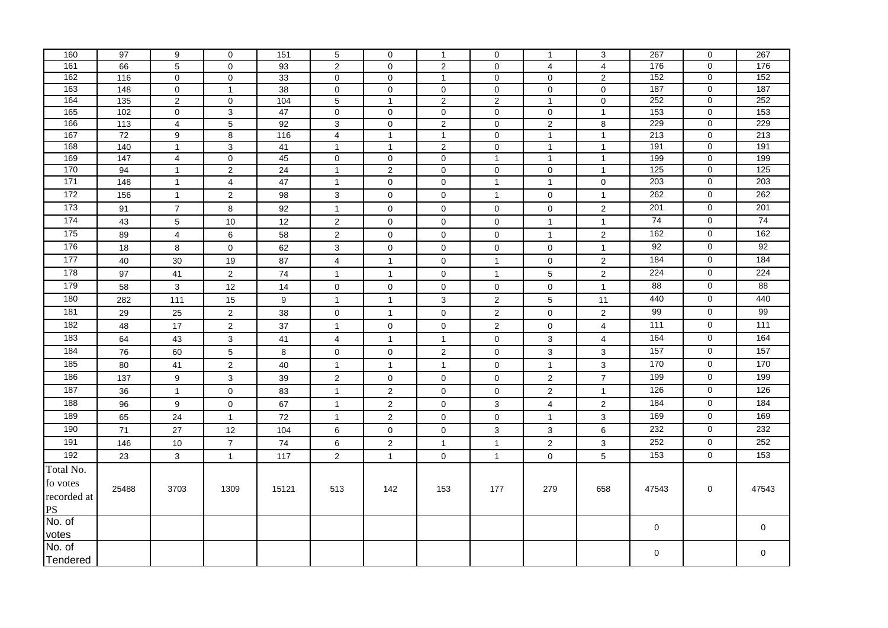| 160              | 97              | 9               | $\mathbf 0$         | 151             | 5                   | 0                   | $\mathbf{1}$        | $\mathbf 0$      | $\mathbf{1}$                        | 3              | 267              | $\mathbf 0$                      | 267              |
|------------------|-----------------|-----------------|---------------------|-----------------|---------------------|---------------------|---------------------|------------------|-------------------------------------|----------------|------------------|----------------------------------|------------------|
| 161              | 66              | $\overline{5}$  | $\overline{0}$      | 93              | $\overline{2}$      | $\mathbf 0$         | $\overline{c}$      | $\mathbf 0$      | $\overline{4}$                      | $\overline{4}$ | 176              | 0                                | 176              |
| 162              | $\frac{116}{ }$ | $\mathbf 0$     | $\mathsf 0$         | 33              | $\pmb{0}$           | $\mathbf 0$         | $\mathbf{1}$        | $\pmb{0}$        | $\mathbf 0$                         | 2              | 152              | 0                                | 152              |
| $\overline{163}$ | 148             | $\mathbf 0$     | $\mathbf{1}$        | $\overline{38}$ | $\mathbf 0$         | $\mathbf 0$         | $\mathbf 0$         | $\mathbf 0$      | $\mathbf 0$                         | $\mathbf 0$    | 187              | $\overline{0}$                   | 187              |
| 164              | 135             | $\overline{2}$  | $\mathsf{O}\xspace$ | 104             | $\,$ 5 $\,$         | $\mathbf{1}$        | $\overline{2}$      | $\overline{2}$   | $\mathbf{1}$                        | $\mathbf 0$    | 252              | 0                                | 252              |
| 165              | 102             | $\mathbf 0$     | $\mathbf{3}$        | 47              | 0                   | $\mathsf 0$         | $\pmb{0}$           | $\pmb{0}$        | $\mathbf 0$                         | $\overline{1}$ | $\overline{153}$ | 0                                | $\overline{153}$ |
| 166              | 113             | $\overline{4}$  | $\sqrt{5}$          | 92              | 3                   | $\mathbf 0$         | $\overline{2}$      | $\mathbf 0$      | $\overline{2}$                      | 8              | 229              | 0                                | 229              |
| 167              | 72              | 9               | $\overline{8}$      | 116             | $\overline{4}$      | $\mathbf{1}$        | $\mathbf{1}$        | $\pmb{0}$        | $\mathbf{1}$                        | $\overline{1}$ | 213              | $\overline{0}$                   | 213              |
| 168<br>169       | 140             | $\mathbf{1}$    | $\overline{3}$      | 41              | $\mathbf{1}$        | $\mathbf{1}$        | $\overline{2}$      | $\pmb{0}$        | $\mathbf{1}$                        | $\overline{1}$ | 191<br>199       | $\overline{0}$<br>$\overline{0}$ | 191<br>199       |
| 170              | 147<br>94       | $\overline{4}$  | $\overline{0}$      | 45              | $\mathbf 0$         | $\mathbf 0$         | $\mathsf 0$         | $\mathbf{1}$     | $\mathbf{1}$                        | $\overline{1}$ | $\frac{125}{2}$  |                                  | $\frac{125}{2}$  |
| $\frac{1}{171}$  |                 | $\mathbf{1}$    | $\overline{c}$      | 24              | $\mathbf{1}$        | $\overline{2}$      | $\mathsf{O}\xspace$ | $\pmb{0}$        | $\mathsf{O}\xspace$<br>$\mathbf{1}$ | $\overline{1}$ | 203              | 0<br>$\mathsf 0$                 | 203              |
|                  | 148             | $\mathbf{1}$    | $\overline{4}$      | 47              | $\mathbf{1}$        | $\mathbf 0$         | $\mathbf 0$         | $\mathbf{1}$     |                                     | 0              | 262              |                                  | 262              |
| $\frac{1}{172}$  | 156             | $\mathbf{1}$    | $\overline{2}$      | 98              | 3                   | 0                   | $\mathbf 0$         | $\mathbf{1}$     | 0                                   | $\mathbf{1}$   |                  | $\mathbf 0$                      |                  |
| 173              | 91              | $\overline{7}$  | $\bf 8$             | 92              | $\mathbf{1}$        | $\mathbf 0$         | 0                   | $\mathbf 0$      | $\mathbf 0$                         | 2              | 201              | $\mathbf 0$                      | 201              |
| 174              | 43              | $5\phantom{.0}$ | $10$                | 12              | $\overline{c}$      | $\mathbf 0$         | $\mathbf 0$         | $\pmb{0}$        | $\mathbf{1}$                        | $\mathbf{1}$   | 74               | $\mathbf 0$                      | 74               |
| $\frac{175}{2}$  | 89              | $\overline{4}$  | $\,6\,$             | 58              | $\overline{2}$      | $\mathbf 0$         | $\mathbf 0$         | $\pmb{0}$        | $\mathbf{1}$                        | $\mathbf{2}$   | 162              | $\mathbf 0$                      | 162              |
| 176              | 18              | 8               | $\mathsf 0$         | 62              | 3                   | $\mathsf 0$         | $\mathsf 0$         | $\pmb{0}$        | $\pmb{0}$                           | $\mathbf{1}$   | 92               | 0                                | 92               |
| 177              | 40              | 30              | 19                  | 87              | $\overline{4}$      | $\mathbf{1}$        | $\mathsf 0$         | $\mathbf{1}$     | $\mathsf{O}\xspace$                 | $\overline{c}$ | 184              | $\mathbf 0$                      | 184              |
| 178              | 97              | 41              | $\overline{a}$      | 74              | $\mathbf{1}$        | $\mathbf{1}$        | $\mathbf 0$         | $\mathbf{1}$     | $\overline{5}$                      | $\overline{2}$ | 224              | 0                                | 224              |
| 179              | 58              | 3               | 12                  | 14              | $\mathbf 0$         | $\mathbf 0$         | $\mathbf 0$         | $\mathbf 0$      | $\mathbf 0$                         | $\overline{1}$ | 88               | $\mathbf 0$                      | 88               |
| 180              | 282             | 111             | 15                  | 9               | $\mathbf{1}$        | $\mathbf{1}$        | 3                   | $\boldsymbol{2}$ | $\,$ 5 $\,$                         | 11             | 440              | $\mathbf 0$                      | 440              |
| 181              | 29              | 25              | $\overline{a}$      | 38              | $\mathbf 0$         | $\mathbf{1}$        | $\mathbf 0$         | $\sqrt{2}$       | $\mathbf 0$                         | $\overline{2}$ | 99               | $\mathbf 0$                      | 99               |
| 182              | 48              | 17              | $\overline{2}$      | 37              | $\mathbf{1}$        | $\mathsf{O}\xspace$ | $\mathsf{O}\xspace$ | $\sqrt{2}$       | $\mathsf 0$                         | $\overline{4}$ | 111              | $\overline{0}$                   | 111              |
| 183              | 64              | 43              | $\mathbf{3}$        | 41              | $\overline{4}$      | $\mathbf{1}$        | $\mathbf{1}$        | $\pmb{0}$        | $\mathsf 3$                         | $\overline{4}$ | 164              | $\mathbf 0$                      | 164              |
| 184              | 76              | 60              | $\overline{5}$      | 8               | $\mathsf{O}\xspace$ | $\mathbf 0$         | $\overline{2}$      | $\pmb{0}$        | $\overline{3}$                      | 3              | 157              | $\mathbf 0$                      | 157              |
| 185              | 80              | 41              | $\mathbf 2$         | 40              | $\mathbf{1}$        | $\mathbf{1}$        | $\mathbf{1}$        | $\pmb{0}$        | $\mathbf{1}$                        | 3              | 170              | 0                                | 170              |
| 186              | 137             | 9               | $\mathbf{3}$        | 39              | $\overline{2}$      | $\mathsf{O}\xspace$ | $\mathsf{O}\xspace$ | $\mathbf 0$      | $\sqrt{2}$                          | $\overline{7}$ | 199              | 0                                | 199              |
| 187              | 36              | $\overline{1}$  | $\pmb{0}$           | 83              | $\mathbf{1}$        | $\overline{c}$      | $\mathbf 0$         | $\mathbf 0$      | $\sqrt{2}$                          | $\mathbf{1}$   | 126              | 0                                | 126              |
| 188              | 96              | 9               | $\mathbf 0$         | 67              | $\mathbf{1}$        | $\overline{2}$      | $\mathbf 0$         | 3                | $\overline{4}$                      | $\mathbf 2$    | 184              | $\overline{0}$                   | 184              |
| 189              | 65              | 24              | $\mathbf{1}$        | 72              | $\mathbf{1}$        | $\overline{2}$      | $\mathbf 0$         | $\pmb{0}$        | $\mathbf{1}$                        | 3              | 169              | $\mathbf 0$                      | 169              |
| 190              | 71              | 27              | 12                  | 104             | $\,6\,$             | $\mathsf{O}\xspace$ | $\mathbf 0$         | $\mathsf 3$      | $\mathbf{3}$                        | $\,6$          | 232              | $\overline{0}$                   | 232              |
| 191              | 146             | 10              | $\overline{7}$      | 74              | 6                   | $\overline{2}$      | $\mathbf{1}$        | $\mathbf{1}$     | $\sqrt{2}$                          | $\mathbf{3}$   | 252              | $\mathbf 0$                      | 252              |
| 192              | 23              | $\mathbf{3}$    | $\mathbf{1}$        | 117             | $\overline{2}$      | $\mathbf{1}$        | $\pmb{0}$           | $\mathbf{1}$     | $\mathsf 0$                         | 5              | 153              | $\overline{0}$                   | 153              |
|                  |                 |                 |                     |                 |                     |                     |                     |                  |                                     |                |                  |                                  |                  |
| Total No.        |                 |                 |                     |                 |                     |                     |                     |                  |                                     |                |                  |                                  |                  |
| fo votes         | 25488           | 3703            | 1309                | 15121           | 513                 | 142                 | 153                 | 177              | 279                                 | 658            | 47543            | 0                                | 47543            |
| recorded at      |                 |                 |                     |                 |                     |                     |                     |                  |                                     |                |                  |                                  |                  |
| <b>PS</b>        |                 |                 |                     |                 |                     |                     |                     |                  |                                     |                |                  |                                  |                  |
| No. of           |                 |                 |                     |                 |                     |                     |                     |                  |                                     |                | 0                |                                  | 0                |
| votes            |                 |                 |                     |                 |                     |                     |                     |                  |                                     |                |                  |                                  |                  |
| No. of           |                 |                 |                     |                 |                     |                     |                     |                  |                                     |                | $\mathbf 0$      |                                  | $\pmb{0}$        |
| Tendered         |                 |                 |                     |                 |                     |                     |                     |                  |                                     |                |                  |                                  |                  |